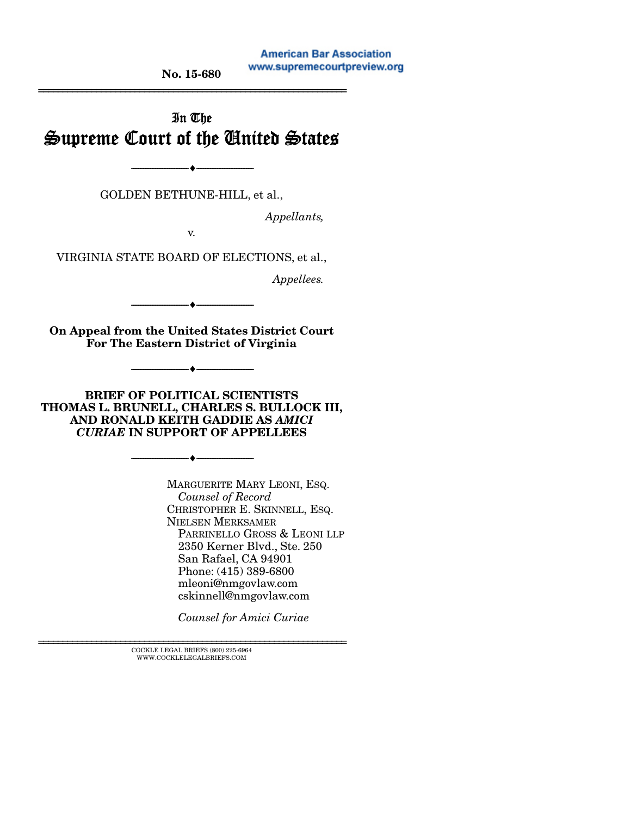#### **American Bar Association** www.supremecourtpreview.org

No. 15-680 ================================================================

# In The Supreme Court of the United States

--------------------------------- --------------------------------- GOLDEN BETHUNE-HILL, et al.,

*Appellants,* 

v.

VIRGINIA STATE BOARD OF ELECTIONS, et al.,

*Appellees.* 

--------------------------------- ---------------------------------

On Appeal from the United States District Court For The Eastern District of Virginia

--------------------------------- ---------------------------------

BRIEF OF POLITICAL SCIENTISTS THOMAS L. BRUNELL, CHARLES S. BULLOCK III, AND RONALD KEITH GADDIE AS *AMICI CURIAE* IN SUPPORT OF APPELLEES

--------------------------------- ---------------------------------

MARGUERITE MARY LEONI, ESQ.  *Counsel of Record* CHRISTOPHER E. SKINNELL, ESQ. NIELSEN MERKSAMER PARRINELLO GROSS & LEONI LLP 2350 Kerner Blvd., Ste. 250 San Rafael, CA 94901 Phone: (415) 389-6800 mleoni@nmgovlaw.com cskinnell@nmgovlaw.com

 *Counsel for Amici Curiae* 

 ${\rm COCKLE}$ LEGAL BRIEFS (800) 225-6964 WWW.COCKLELEGALBRIEFS.COM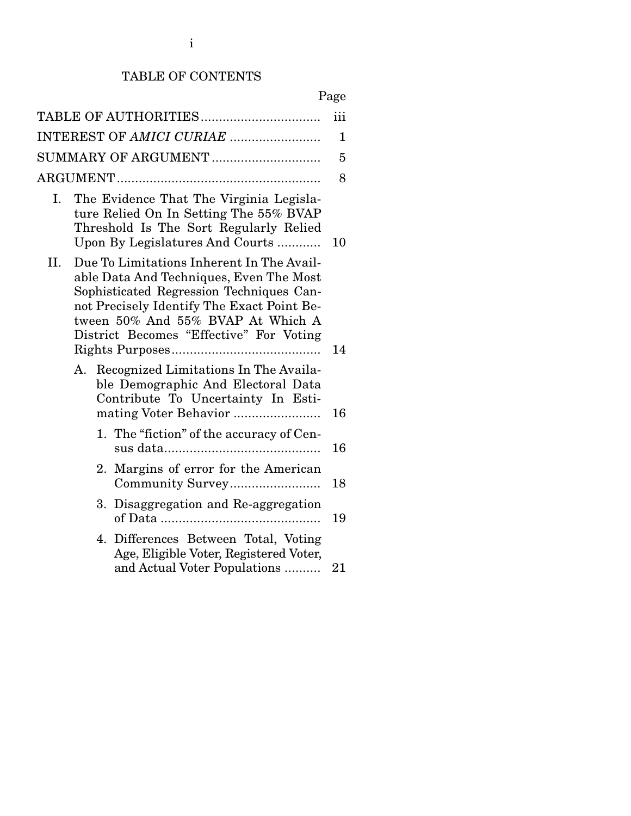# TABLE OF CONTENTS

|--|

|     |                                                                                                                                                                                                                                                                | iii          |
|-----|----------------------------------------------------------------------------------------------------------------------------------------------------------------------------------------------------------------------------------------------------------------|--------------|
|     | INTEREST OF AMICI CURIAE                                                                                                                                                                                                                                       | $\mathbf{1}$ |
|     |                                                                                                                                                                                                                                                                | 5            |
|     |                                                                                                                                                                                                                                                                | 8            |
| Ι.  | The Evidence That The Virginia Legisla-<br>ture Relied On In Setting The 55% BVAP<br>Threshold Is The Sort Regularly Relied<br>Upon By Legislatures And Courts                                                                                                 | 10           |
| II. | Due To Limitations Inherent In The Avail-<br>able Data And Techniques, Even The Most<br>Sophisticated Regression Techniques Can-<br>not Precisely Identify The Exact Point Be-<br>tween 50% And 55% BVAP At Which A<br>District Becomes "Effective" For Voting |              |
|     |                                                                                                                                                                                                                                                                | 14           |
| А.  | Recognized Limitations In The Availa-<br>ble Demographic And Electoral Data<br>Contribute To Uncertainty In Esti-                                                                                                                                              | 16           |
|     | 1. The "fiction" of the accuracy of Cen-                                                                                                                                                                                                                       | 16           |
|     | Margins of error for the American<br>2.<br>Community Survey                                                                                                                                                                                                    | 18           |
|     | Disaggregation and Re-aggregation<br>3.                                                                                                                                                                                                                        | 19           |
|     | 4. Differences Between Total, Voting<br>Age, Eligible Voter, Registered Voter,<br>and Actual Voter Populations                                                                                                                                                 | 21           |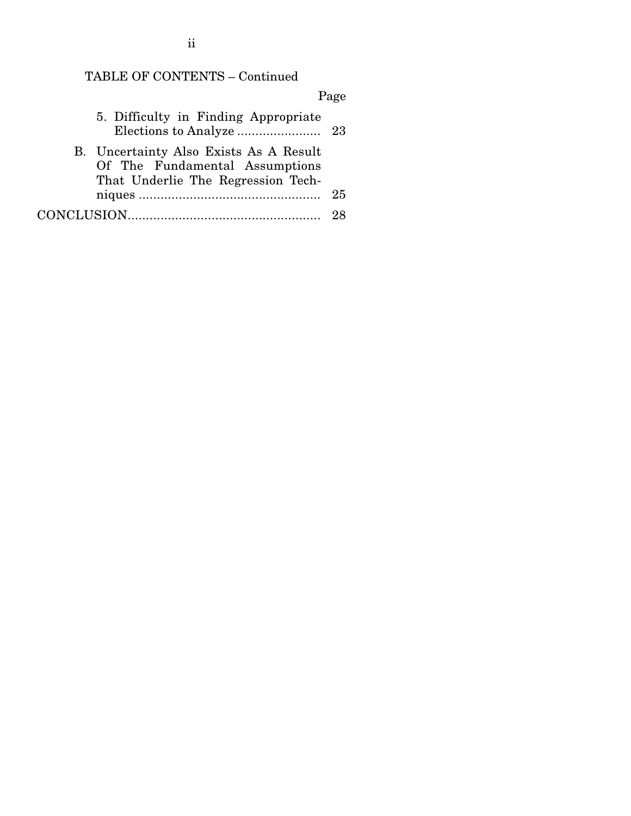## TABLE OF CONTENTS – Continued

# Page 5. Difficulty in Finding Appropriate Elections to Analyze ....................... 23 B. Uncertainty Also Exists As A Result Of The Fundamental Assumptions That Underlie The Regression Techniques .................................................. 25 CONCLUSION ..................................................... 28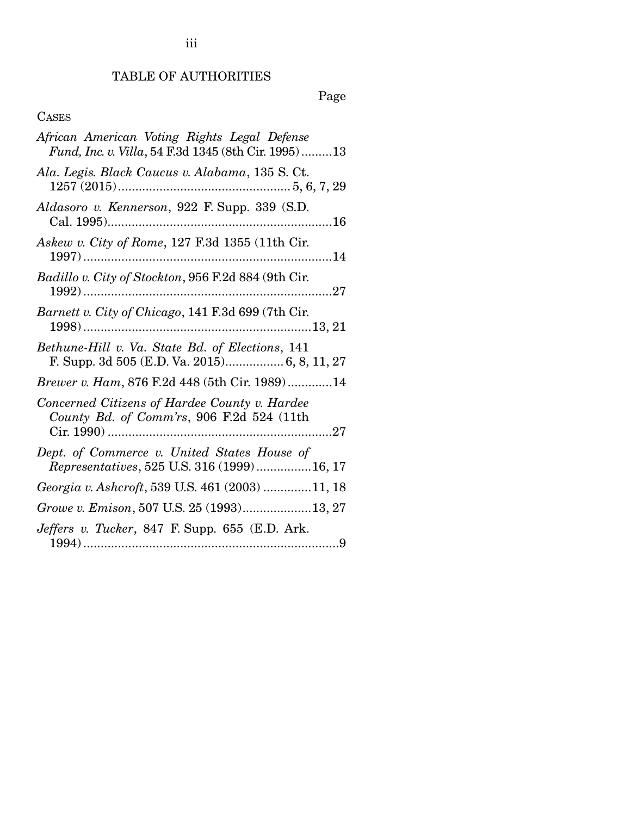# TABLE OF AUTHORITIES

Page

# CASES

| African American Voting Rights Legal Defense<br>Fund, Inc. v. Villa, 54 F.3d 1345 (8th Cir. 1995)13 |
|-----------------------------------------------------------------------------------------------------|
| Ala. Legis. Black Caucus v. Alabama, 135 S. Ct.                                                     |
| Aldasoro v. Kennerson, 922 F. Supp. 339 (S.D.                                                       |
| Askew v. City of Rome, 127 F.3d 1355 (11th Cir.                                                     |
| Badillo v. City of Stockton, 956 F.2d 884 (9th Cir.                                                 |
| Barnett v. City of Chicago, 141 F.3d 699 (7th Cir.<br>$1998)$                                       |
| Bethune-Hill v. Va. State Bd. of Elections, 141<br>F. Supp. 3d 505 (E.D. Va. 2015) 6, 8, 11, 27     |
| <i>Brewer v. Ham, 876 F.2d 448 (5th Cir. 1989)14</i>                                                |
| Concerned Citizens of Hardee County v. Hardee<br>County Bd. of Comm'rs, 906 F.2d 524 (11th          |
| Dept. of Commerce v. United States House of<br>Representatives, 525 U.S. 316 (1999) 16, 17          |
| Georgia v. Ashcroft, 539 U.S. 461 (2003) 11, 18                                                     |
| Growe v. Emison, 507 U.S. 25 (1993)13, 27                                                           |
| Jeffers v. Tucker, 847 F. Supp. 655 (E.D. Ark.                                                      |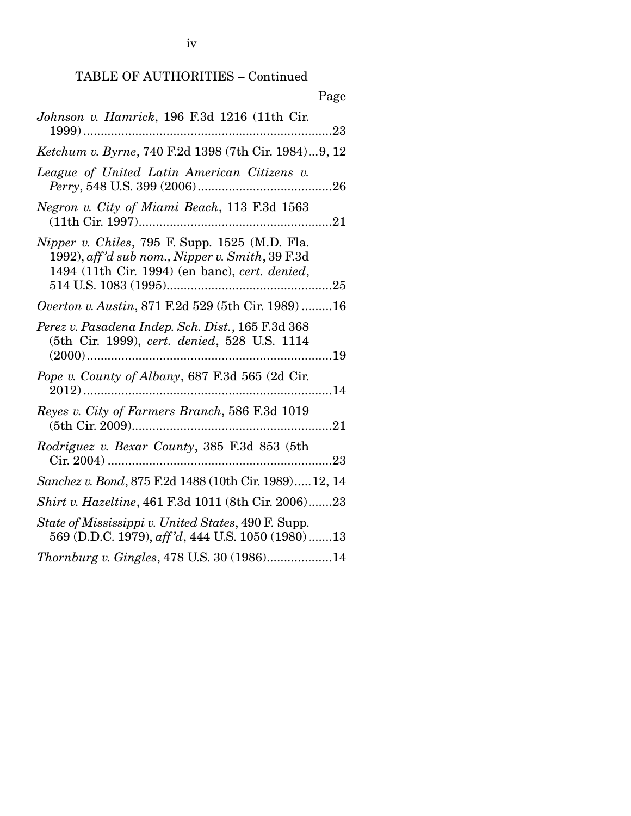# TABLE OF AUTHORITIES – Continued

| Page                                                                                                                                                |
|-----------------------------------------------------------------------------------------------------------------------------------------------------|
| Johnson v. Hamrick, 196 F.3d 1216 (11th Cir.                                                                                                        |
| Ketchum v. Byrne, 740 F.2d 1398 (7th Cir. 1984)9, 12                                                                                                |
| League of United Latin American Citizens v.                                                                                                         |
| Negron v. City of Miami Beach, 113 F.3d 1563                                                                                                        |
| Nipper v. Chiles, 795 F. Supp. 1525 (M.D. Fla.<br>1992), aff'd sub nom., Nipper v. Smith, 39 F.3d<br>1494 (11th Cir. 1994) (en banc), cert. denied, |
| Overton v. Austin, 871 F.2d 529 (5th Cir. 1989)  16                                                                                                 |
| Perez v. Pasadena Indep. Sch. Dist., 165 F.3d 368<br>(5th Cir. 1999), cert. denied, 528 U.S. 1114                                                   |
| Pope v. County of Albany, 687 F.3d 565 (2d Cir.                                                                                                     |
| Reyes v. City of Farmers Branch, 586 F.3d 1019                                                                                                      |
| Rodriguez v. Bexar County, 385 F.3d 853 (5th                                                                                                        |
| Sanchez v. Bond, 875 F.2d 1488 (10th Cir. 1989)12, 14                                                                                               |
| <i>Shirt v. Hazeltine, 461 F.3d 1011 (8th Cir. 2006)23</i>                                                                                          |
| State of Mississippi v. United States, 490 F. Supp.<br>569 (D.D.C. 1979), aff'd, 444 U.S. 1050 (1980)13                                             |
| Thornburg v. Gingles, 478 U.S. 30 (1986)14                                                                                                          |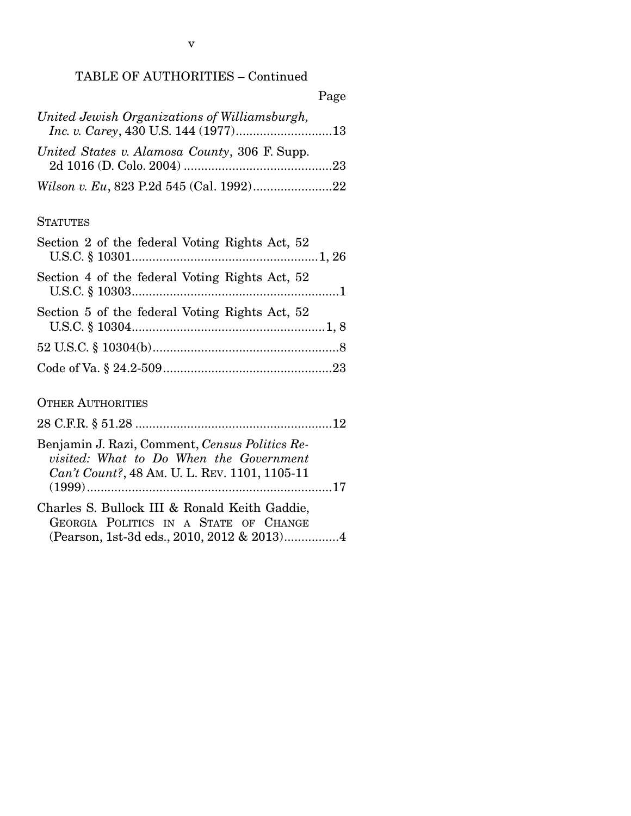|                                               | Page |
|-----------------------------------------------|------|
| United Jewish Organizations of Williamsburgh, |      |
| United States v. Alamosa County, 306 F. Supp. |      |
|                                               |      |

#### **STATUTES**

| Section 2 of the federal Voting Rights Act, 52                                                                                                    |
|---------------------------------------------------------------------------------------------------------------------------------------------------|
| Section 4 of the federal Voting Rights Act, 52                                                                                                    |
| Section 5 of the federal Voting Rights Act, 52                                                                                                    |
|                                                                                                                                                   |
|                                                                                                                                                   |
| <b>OTHER AUTHORITIES</b>                                                                                                                          |
|                                                                                                                                                   |
| Benjamin J. Razi, Comment, Census Politics Re-<br><i>visited:</i> What to Do When the Government<br>Can't Count?, 48 AM. U. L. REV. 1101, 1105-11 |

| Charles S. Bullock III & Ronald Keith Gaddie, |                                       |  |  |  |
|-----------------------------------------------|---------------------------------------|--|--|--|
|                                               | GEORGIA POLITICS IN A STATE OF CHANGE |  |  |  |
|                                               |                                       |  |  |  |

(1999) ....................................................................... 17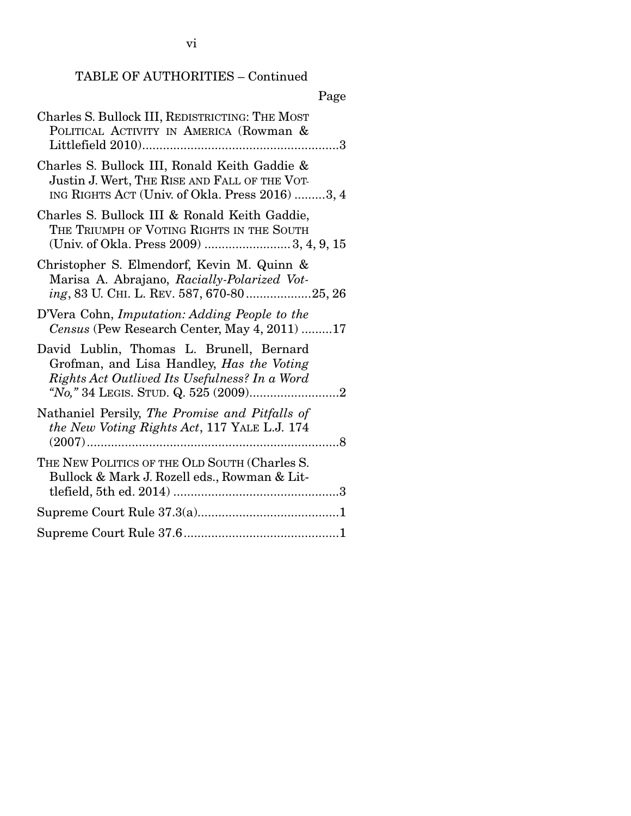# TABLE OF AUTHORITIES – Continued

# Page

| Charles S. Bullock III, REDISTRICTING: THE MOST<br>POLITICAL ACTIVITY IN AMERICA (Rowman &                                                        |
|---------------------------------------------------------------------------------------------------------------------------------------------------|
| Charles S. Bullock III, Ronald Keith Gaddie &<br>Justin J. Wert, THE RISE AND FALL OF THE VOT-<br>ING RIGHTS ACT (Univ. of Okla. Press 2016) 3, 4 |
| Charles S. Bullock III & Ronald Keith Gaddie,<br>THE TRIUMPH OF VOTING RIGHTS IN THE SOUTH                                                        |
| Christopher S. Elmendorf, Kevin M. Quinn &<br>Marisa A. Abrajano, Racially-Polarized Vot-<br>ing, 83 U. CHI. L. REV. 587, 670-8025, 26            |
| D'Vera Cohn, Imputation: Adding People to the<br>Census (Pew Research Center, May 4, 2011) 17                                                     |
| David Lublin, Thomas L. Brunell, Bernard<br>Grofman, and Lisa Handley, Has the Voting<br>Rights Act Outlived Its Usefulness? In a Word            |
| Nathaniel Persily, The Promise and Pitfalls of<br>the New Voting Rights Act, 117 YALE L.J. 174                                                    |
| THE NEW POLITICS OF THE OLD SOUTH (Charles S.<br>Bullock & Mark J. Rozell eds., Rowman & Lit-                                                     |
|                                                                                                                                                   |
|                                                                                                                                                   |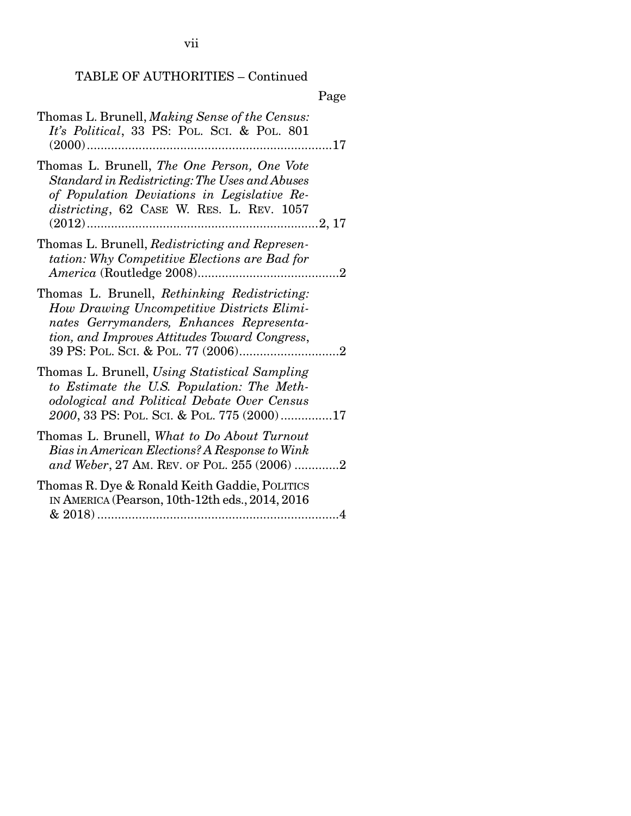vii

# TABLE OF AUTHORITIES – Continued

|                                                                                                                                                                                           | Page |
|-------------------------------------------------------------------------------------------------------------------------------------------------------------------------------------------|------|
| Thomas L. Brunell, Making Sense of the Census:<br>It's Political, 33 PS: POL. SCI. & POL. 801                                                                                             |      |
| Thomas L. Brunell, The One Person, One Vote<br>Standard in Redistricting: The Uses and Abuses<br>of Population Deviations in Legislative Re-<br>districting, 62 CASE W. RES. L. REV. 1057 |      |
| Thomas L. Brunell, Redistricting and Represen-<br>tation: Why Competitive Elections are Bad for                                                                                           |      |
| Thomas L. Brunell, Rethinking Redistricting:<br>How Drawing Uncompetitive Districts Elimi-<br>nates Gerrymanders, Enhances Representa-<br>tion, and Improves Attitudes Toward Congress,   |      |
| Thomas L. Brunell, Using Statistical Sampling<br>to Estimate the U.S. Population: The Meth-<br>odological and Political Debate Over Census<br>2000, 33 PS: POL. SCI. & POL. 775 (2000)17  |      |
| Thomas L. Brunell, What to Do About Turnout<br>Bias in American Elections? A Response to Wink<br>and Weber, 27 AM. REV. OF POL. 255 (2006) 2                                              |      |
| Thomas R. Dye & Ronald Keith Gaddie, POLITICS<br>IN AMERICA (Pearson, 10th-12th eds., 2014, 2016)                                                                                         |      |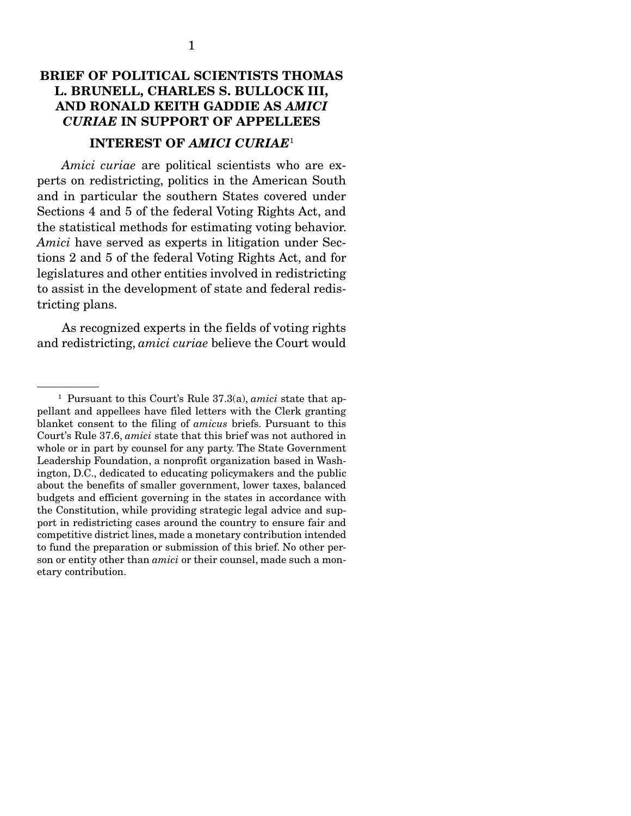## BRIEF OF POLITICAL SCIENTISTS THOMAS L. BRUNELL, CHARLES S. BULLOCK III, AND RONALD KEITH GADDIE AS *AMICI CURIAE* IN SUPPORT OF APPELLEES

## INTEREST OF *AMICI CURIAE*<sup>1</sup>

*Amici curiae* are political scientists who are experts on redistricting, politics in the American South and in particular the southern States covered under Sections 4 and 5 of the federal Voting Rights Act, and the statistical methods for estimating voting behavior. *Amici* have served as experts in litigation under Sections 2 and 5 of the federal Voting Rights Act, and for legislatures and other entities involved in redistricting to assist in the development of state and federal redistricting plans.

 As recognized experts in the fields of voting rights and redistricting, *amici curiae* believe the Court would

<sup>1</sup> Pursuant to this Court's Rule 37.3(a), *amici* state that appellant and appellees have filed letters with the Clerk granting blanket consent to the filing of *amicus* briefs. Pursuant to this Court's Rule 37.6, *amici* state that this brief was not authored in whole or in part by counsel for any party. The State Government Leadership Foundation, a nonprofit organization based in Washington, D.C., dedicated to educating policymakers and the public about the benefits of smaller government, lower taxes, balanced budgets and efficient governing in the states in accordance with the Constitution, while providing strategic legal advice and support in redistricting cases around the country to ensure fair and competitive district lines, made a monetary contribution intended to fund the preparation or submission of this brief. No other person or entity other than *amici* or their counsel, made such a monetary contribution.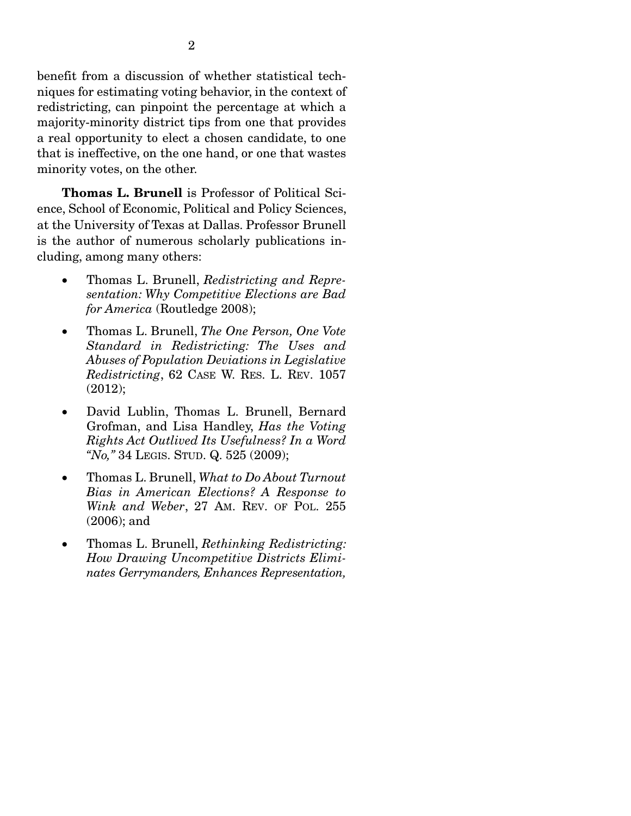benefit from a discussion of whether statistical techniques for estimating voting behavior, in the context of redistricting, can pinpoint the percentage at which a majority-minority district tips from one that provides a real opportunity to elect a chosen candidate, to one that is ineffective, on the one hand, or one that wastes minority votes, on the other.

Thomas L. Brunell is Professor of Political Science, School of Economic, Political and Policy Sciences, at the University of Texas at Dallas. Professor Brunell is the author of numerous scholarly publications including, among many others:

- Thomas L. Brunell, *Redistricting and Representation: Why Competitive Elections are Bad for America* (Routledge 2008);
- Thomas L. Brunell, *The One Person, One Vote Standard in Redistricting: The Uses and Abuses of Population Deviations in Legislative Redistricting*, 62 CASE W. RES. L. REV. 1057 (2012);
- David Lublin, Thomas L. Brunell, Bernard Grofman, and Lisa Handley, *Has the Voting Rights Act Outlived Its Usefulness? In a Word "No,"* 34 LEGIS. STUD. Q. 525 (2009);
- Thomas L. Brunell, *What to Do About Turnout Bias in American Elections? A Response to Wink and Weber*, 27 AM. REV. OF POL. 255 (2006); and
- Thomas L. Brunell, *Rethinking Redistricting: How Drawing Uncompetitive Districts Eliminates Gerrymanders, Enhances Representation,*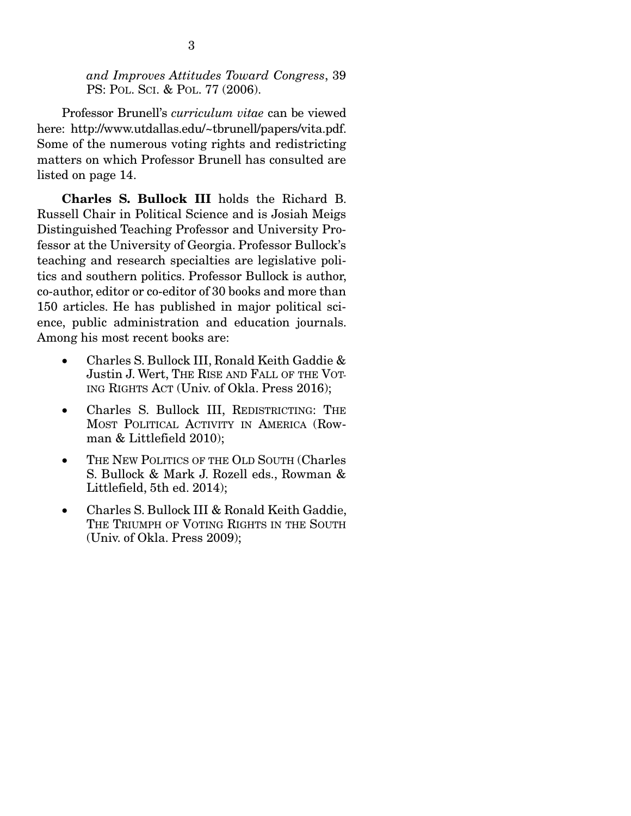*and Improves Attitudes Toward Congress*, 39 PS: POL. SCI. & POL. 77 (2006).

 Professor Brunell's *curriculum vitae* can be viewed here: http://www.utdallas.edu/~tbrunell/papers/vita.pdf. Some of the numerous voting rights and redistricting matters on which Professor Brunell has consulted are listed on page 14.

Charles S. Bullock III holds the Richard B. Russell Chair in Political Science and is Josiah Meigs Distinguished Teaching Professor and University Professor at the University of Georgia. Professor Bullock's teaching and research specialties are legislative politics and southern politics. Professor Bullock is author, co-author, editor or co-editor of 30 books and more than 150 articles. He has published in major political science, public administration and education journals. Among his most recent books are:

- Charles S. Bullock III, Ronald Keith Gaddie & Justin J. Wert, THE RISE AND FALL OF THE VOT-ING RIGHTS ACT (Univ. of Okla. Press 2016);
- Charles S. Bullock III, REDISTRICTING: THE MOST POLITICAL ACTIVITY IN AMERICA (Rowman & Littlefield 2010);
- THE NEW POLITICS OF THE OLD SOUTH (Charles S. Bullock & Mark J. Rozell eds., Rowman & Littlefield, 5th ed. 2014);
- Charles S. Bullock III & Ronald Keith Gaddie, THE TRIUMPH OF VOTING RIGHTS IN THE SOUTH (Univ. of Okla. Press 2009);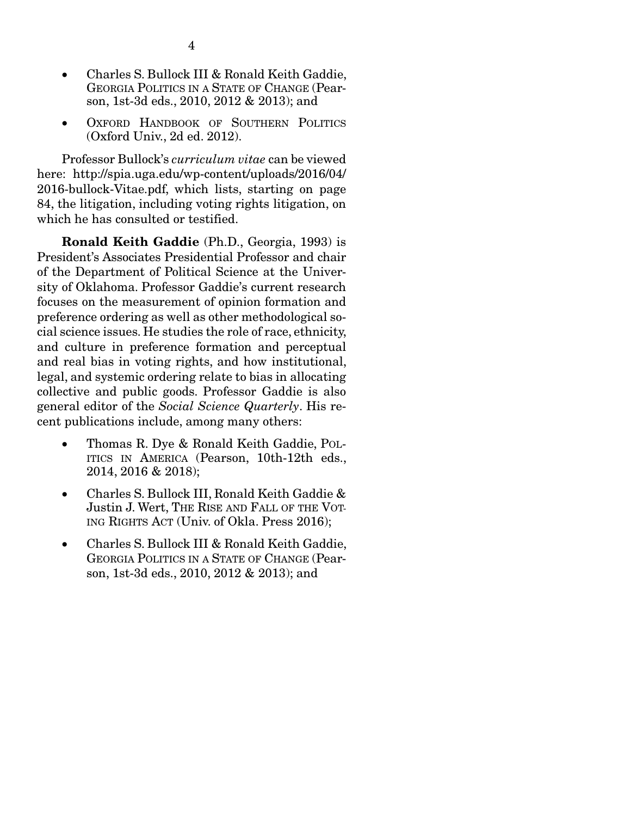- Charles S. Bullock III & Ronald Keith Gaddie, GEORGIA POLITICS IN A STATE OF CHANGE (Pearson, 1st-3d eds., 2010, 2012 & 2013); and
- OXFORD HANDBOOK OF SOUTHERN POLITICS (Oxford Univ., 2d ed. 2012).

 Professor Bullock's *curriculum vitae* can be viewed here: http://spia.uga.edu/wp-content/uploads/2016/04/ 2016-bullock-Vitae.pdf, which lists, starting on page 84, the litigation, including voting rights litigation, on which he has consulted or testified.

Ronald Keith Gaddie (Ph.D., Georgia, 1993) is President's Associates Presidential Professor and chair of the Department of Political Science at the University of Oklahoma. Professor Gaddie's current research focuses on the measurement of opinion formation and preference ordering as well as other methodological social science issues. He studies the role of race, ethnicity, and culture in preference formation and perceptual and real bias in voting rights, and how institutional, legal, and systemic ordering relate to bias in allocating collective and public goods. Professor Gaddie is also general editor of the *Social Science Quarterly*. His recent publications include, among many others:

- Thomas R. Dye & Ronald Keith Gaddie, POL-ITICS IN AMERICA (Pearson, 10th-12th eds., 2014, 2016 & 2018);
- Charles S. Bullock III, Ronald Keith Gaddie & Justin J. Wert, THE RISE AND FALL OF THE VOT-ING RIGHTS ACT (Univ. of Okla. Press 2016);
- Charles S. Bullock III & Ronald Keith Gaddie, GEORGIA POLITICS IN A STATE OF CHANGE (Pearson, 1st-3d eds., 2010, 2012 & 2013); and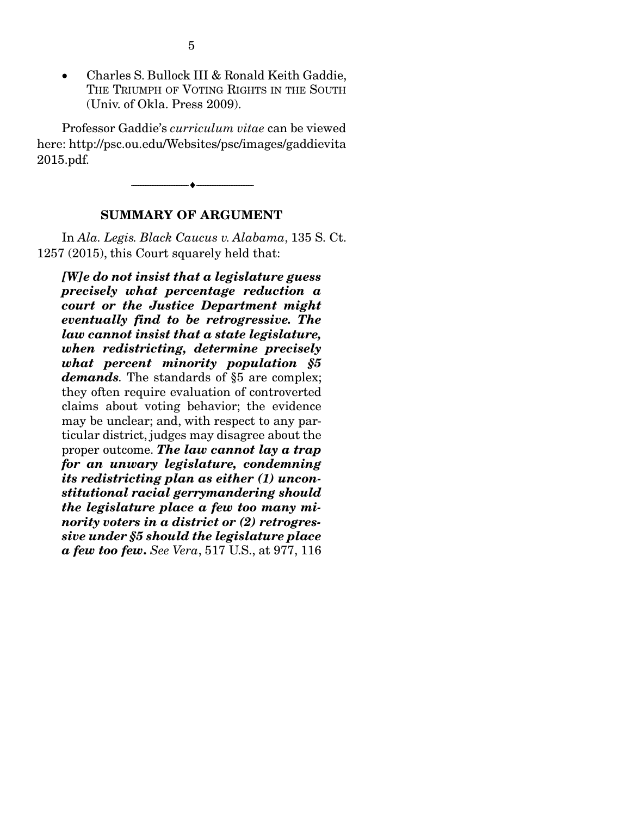Charles S. Bullock III & Ronald Keith Gaddie, THE TRIUMPH OF VOTING RIGHTS IN THE SOUTH (Univ. of Okla. Press 2009).

 Professor Gaddie's *curriculum vitae* can be viewed here: http://psc.ou.edu/Websites/psc/images/gaddievita 2015.pdf.

#### SUMMARY OF ARGUMENT

--------------------------------- ---------------------------------

 In *Ala. Legis. Black Caucus v. Alabama*, 135 S. Ct. 1257 (2015), this Court squarely held that:

*[W]e do not insist that a legislature guess precisely what percentage reduction a court or the Justice Department might eventually find to be retrogressive. The law cannot insist that a state legislature, when redistricting, determine precisely what percent minority population §5 demands.* The standards of §5 are complex; they often require evaluation of controverted claims about voting behavior; the evidence may be unclear; and, with respect to any particular district, judges may disagree about the proper outcome. *The law cannot lay a trap for an unwary legislature, condemning its redistricting plan as either (1) unconstitutional racial gerrymandering should the legislature place a few too many minority voters in a district or (2) retrogressive under §5 should the legislature place a few too few*. *See Vera*, 517 U.S., at 977, 116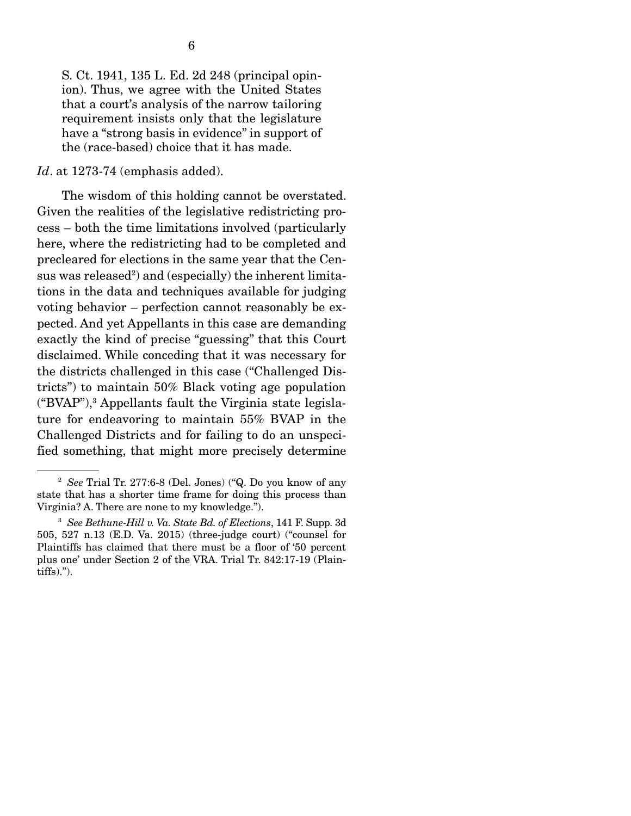S. Ct. 1941, 135 L. Ed. 2d 248 (principal opinion). Thus, we agree with the United States that a court's analysis of the narrow tailoring requirement insists only that the legislature have a "strong basis in evidence" in support of the (race-based) choice that it has made.

#### *Id*. at 1273-74 (emphasis added).

 The wisdom of this holding cannot be overstated. Given the realities of the legislative redistricting process – both the time limitations involved (particularly here, where the redistricting had to be completed and precleared for elections in the same year that the Census was released<sup>2</sup>) and (especially) the inherent limitations in the data and techniques available for judging voting behavior – perfection cannot reasonably be expected. And yet Appellants in this case are demanding exactly the kind of precise "guessing" that this Court disclaimed. While conceding that it was necessary for the districts challenged in this case ("Challenged Districts") to maintain 50% Black voting age population ("BVAP"),3 Appellants fault the Virginia state legislature for endeavoring to maintain 55% BVAP in the Challenged Districts and for failing to do an unspecified something, that might more precisely determine

<sup>2</sup> *See* Trial Tr. 277:6-8 (Del. Jones) ("Q. Do you know of any state that has a shorter time frame for doing this process than Virginia? A. There are none to my knowledge.").

<sup>3</sup> *See Bethune-Hill v. Va. State Bd. of Elections*, 141 F. Supp. 3d 505, 527 n.13 (E.D. Va. 2015) (three-judge court) ("counsel for Plaintiffs has claimed that there must be a floor of '50 percent plus one' under Section 2 of the VRA. Trial Tr. 842:17-19 (Plaintiffs).").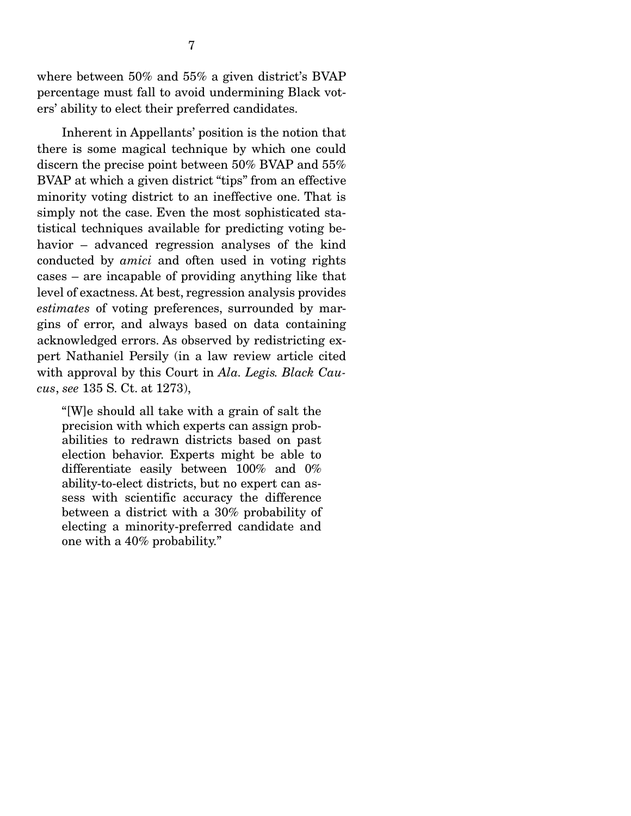where between 50% and 55% a given district's BVAP percentage must fall to avoid undermining Black voters' ability to elect their preferred candidates.

 Inherent in Appellants' position is the notion that there is some magical technique by which one could discern the precise point between 50% BVAP and 55% BVAP at which a given district "tips" from an effective minority voting district to an ineffective one. That is simply not the case. Even the most sophisticated statistical techniques available for predicting voting behavior – advanced regression analyses of the kind conducted by *amici* and often used in voting rights cases – are incapable of providing anything like that level of exactness. At best, regression analysis provides *estimates* of voting preferences, surrounded by margins of error, and always based on data containing acknowledged errors. As observed by redistricting expert Nathaniel Persily (in a law review article cited with approval by this Court in *Ala. Legis. Black Caucus*, *see* 135 S. Ct. at 1273),

"[W]e should all take with a grain of salt the precision with which experts can assign probabilities to redrawn districts based on past election behavior. Experts might be able to differentiate easily between 100% and 0% ability-to-elect districts, but no expert can assess with scientific accuracy the difference between a district with a 30% probability of electing a minority-preferred candidate and one with a 40% probability."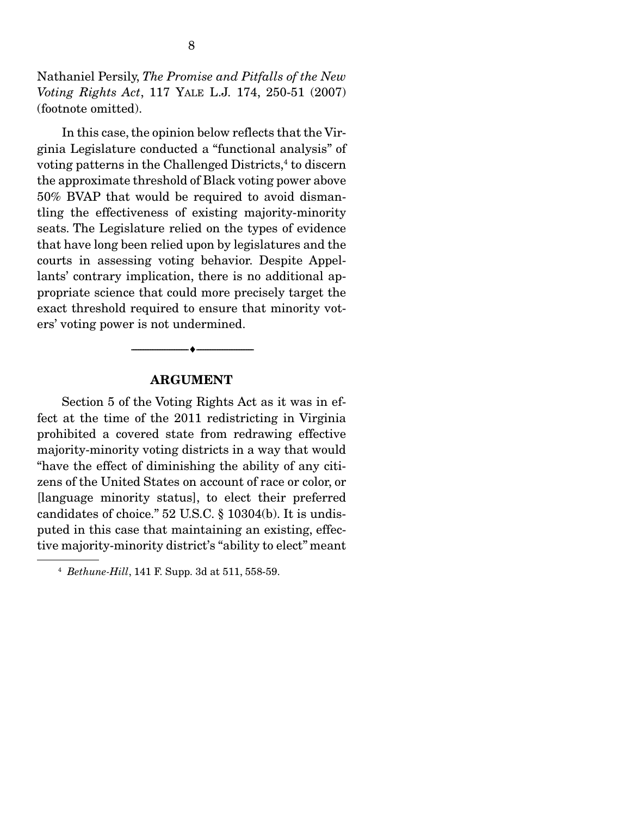Nathaniel Persily, *The Promise and Pitfalls of the New Voting Rights Act*, 117 YALE L.J. 174, 250-51 (2007) (footnote omitted).

 In this case, the opinion below reflects that the Virginia Legislature conducted a "functional analysis" of voting patterns in the Challenged Districts,<sup>4</sup> to discern the approximate threshold of Black voting power above 50% BVAP that would be required to avoid dismantling the effectiveness of existing majority-minority seats. The Legislature relied on the types of evidence that have long been relied upon by legislatures and the courts in assessing voting behavior. Despite Appellants' contrary implication, there is no additional appropriate science that could more precisely target the exact threshold required to ensure that minority voters' voting power is not undermined.

#### ARGUMENT

--------------------------------- ---------------------------------

 Section 5 of the Voting Rights Act as it was in effect at the time of the 2011 redistricting in Virginia prohibited a covered state from redrawing effective majority-minority voting districts in a way that would "have the effect of diminishing the ability of any citizens of the United States on account of race or color, or [language minority status], to elect their preferred candidates of choice." 52 U.S.C. § 10304(b). It is undisputed in this case that maintaining an existing, effective majority-minority district's "ability to elect" meant

<sup>4</sup> *Bethune-Hill*, 141 F. Supp. 3d at 511, 558-59.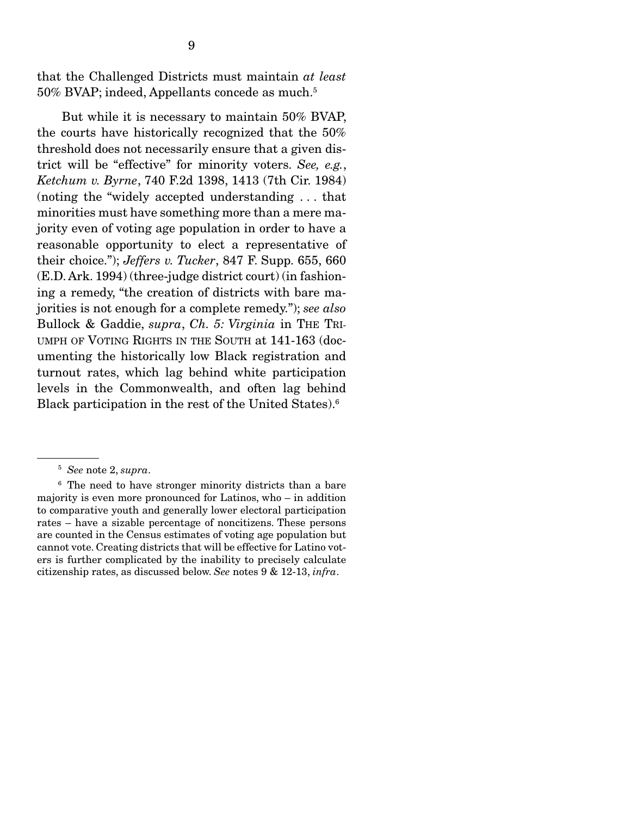that the Challenged Districts must maintain *at least*  50% BVAP; indeed, Appellants concede as much.5

 But while it is necessary to maintain 50% BVAP, the courts have historically recognized that the 50% threshold does not necessarily ensure that a given district will be "effective" for minority voters. *See, e.g.*, *Ketchum v. Byrne*, 740 F.2d 1398, 1413 (7th Cir. 1984) (noting the "widely accepted understanding . . . that minorities must have something more than a mere majority even of voting age population in order to have a reasonable opportunity to elect a representative of their choice."); *Jeffers v. Tucker*, 847 F. Supp. 655, 660 (E.D. Ark. 1994) (three-judge district court) (in fashioning a remedy, "the creation of districts with bare majorities is not enough for a complete remedy."); *see also* Bullock & Gaddie, *supra*, *Ch. 5: Virginia* in THE TRI-UMPH OF VOTING RIGHTS IN THE SOUTH at 141-163 (documenting the historically low Black registration and turnout rates, which lag behind white participation levels in the Commonwealth, and often lag behind Black participation in the rest of the United States).6

<sup>6</sup> The need to have stronger minority districts than a bare majority is even more pronounced for Latinos, who – in addition to comparative youth and generally lower electoral participation rates – have a sizable percentage of noncitizens. These persons are counted in the Census estimates of voting age population but cannot vote. Creating districts that will be effective for Latino voters is further complicated by the inability to precisely calculate citizenship rates, as discussed below. *See* notes 9 & 12-13, *infra*.

<sup>5</sup> *See* note 2, *supra*.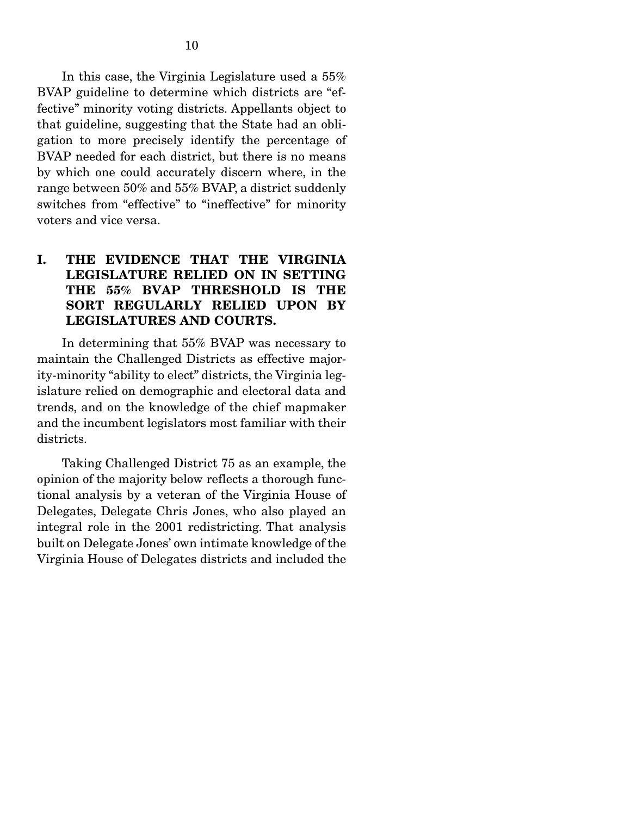In this case, the Virginia Legislature used a 55% BVAP guideline to determine which districts are "effective" minority voting districts. Appellants object to that guideline, suggesting that the State had an obligation to more precisely identify the percentage of BVAP needed for each district, but there is no means by which one could accurately discern where, in the range between 50% and 55% BVAP, a district suddenly switches from "effective" to "ineffective" for minority voters and vice versa.

## I. THE EVIDENCE THAT THE VIRGINIA LEGISLATURE RELIED ON IN SETTING THE 55% BVAP THRESHOLD IS THE SORT REGULARLY RELIED UPON BY LEGISLATURES AND COURTS.

 In determining that 55% BVAP was necessary to maintain the Challenged Districts as effective majority-minority "ability to elect" districts, the Virginia legislature relied on demographic and electoral data and trends, and on the knowledge of the chief mapmaker and the incumbent legislators most familiar with their districts.

 Taking Challenged District 75 as an example, the opinion of the majority below reflects a thorough functional analysis by a veteran of the Virginia House of Delegates, Delegate Chris Jones, who also played an integral role in the 2001 redistricting. That analysis built on Delegate Jones' own intimate knowledge of the Virginia House of Delegates districts and included the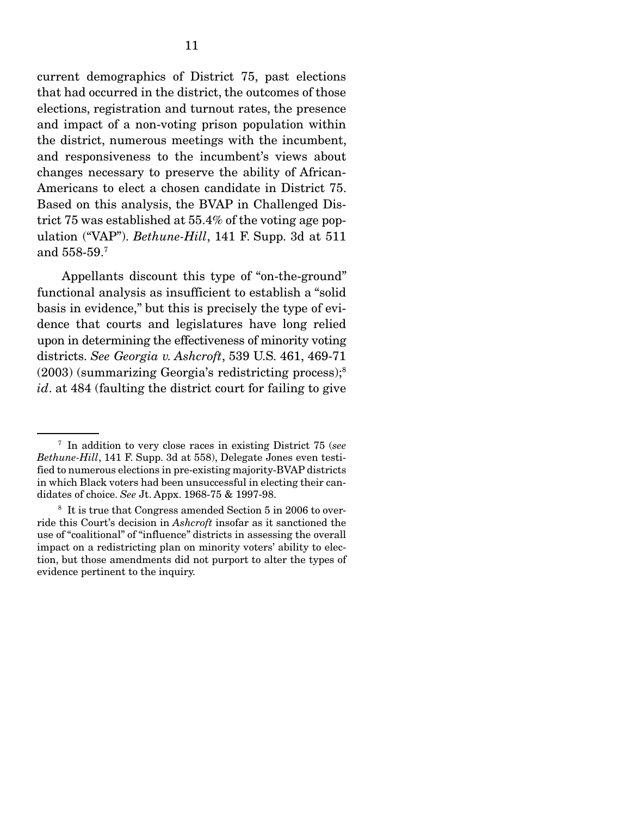current demographics of District 75, past elections that had occurred in the district, the outcomes of those elections, registration and turnout rates, the presence and impact of a non-voting prison population within the district, numerous meetings with the incumbent, and responsiveness to the incumbent's views about changes necessary to preserve the ability of African-Americans to elect a chosen candidate in District 75. Based on this analysis, the BVAP in Challenged District 75 was established at 55.4% of the voting age population ("VAP"). *Bethune-Hill*, 141 F. Supp. 3d at 511 and 558-59.7

 Appellants discount this type of "on-the-ground" functional analysis as insufficient to establish a "solid basis in evidence," but this is precisely the type of evidence that courts and legislatures have long relied upon in determining the effectiveness of minority voting districts. *See Georgia v. Ashcroft*, 539 U.S. 461, 469-71 (2003) (summarizing Georgia's redistricting process);8 *id*. at 484 (faulting the district court for failing to give

<sup>7</sup> In addition to very close races in existing District 75 (*see Bethune-Hill*, 141 F. Supp. 3d at 558), Delegate Jones even testified to numerous elections in pre-existing majority-BVAP districts in which Black voters had been unsuccessful in electing their candidates of choice. *See* Jt. Appx. 1968-75 & 1997-98.

<sup>&</sup>lt;sup>8</sup> It is true that Congress amended Section 5 in 2006 to override this Court's decision in *Ashcroft* insofar as it sanctioned the use of "coalitional" of "influence" districts in assessing the overall impact on a redistricting plan on minority voters' ability to election, but those amendments did not purport to alter the types of evidence pertinent to the inquiry.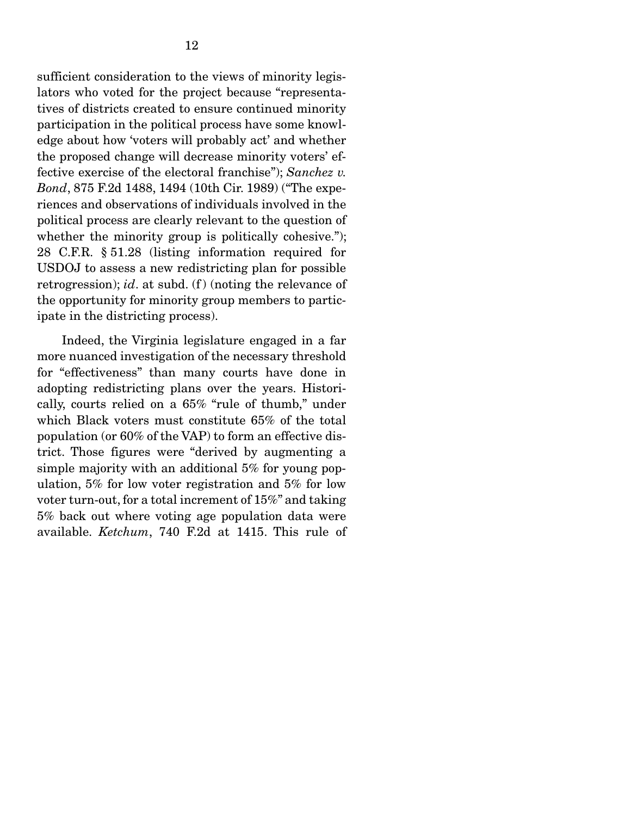sufficient consideration to the views of minority legislators who voted for the project because "representatives of districts created to ensure continued minority participation in the political process have some knowledge about how 'voters will probably act' and whether the proposed change will decrease minority voters' effective exercise of the electoral franchise"); *Sanchez v. Bond*, 875 F.2d 1488, 1494 (10th Cir. 1989) ("The experiences and observations of individuals involved in the political process are clearly relevant to the question of whether the minority group is politically cohesive."); 28 C.F.R. § 51.28 (listing information required for USDOJ to assess a new redistricting plan for possible retrogression); *id*. at subd. (f) (noting the relevance of the opportunity for minority group members to participate in the districting process).

 Indeed, the Virginia legislature engaged in a far more nuanced investigation of the necessary threshold for "effectiveness" than many courts have done in adopting redistricting plans over the years. Historically, courts relied on a 65% "rule of thumb," under which Black voters must constitute 65% of the total population (or 60% of the VAP) to form an effective district. Those figures were "derived by augmenting a simple majority with an additional 5% for young population, 5% for low voter registration and 5% for low voter turn-out, for a total increment of 15%" and taking 5% back out where voting age population data were available. *Ketchum*, 740 F.2d at 1415. This rule of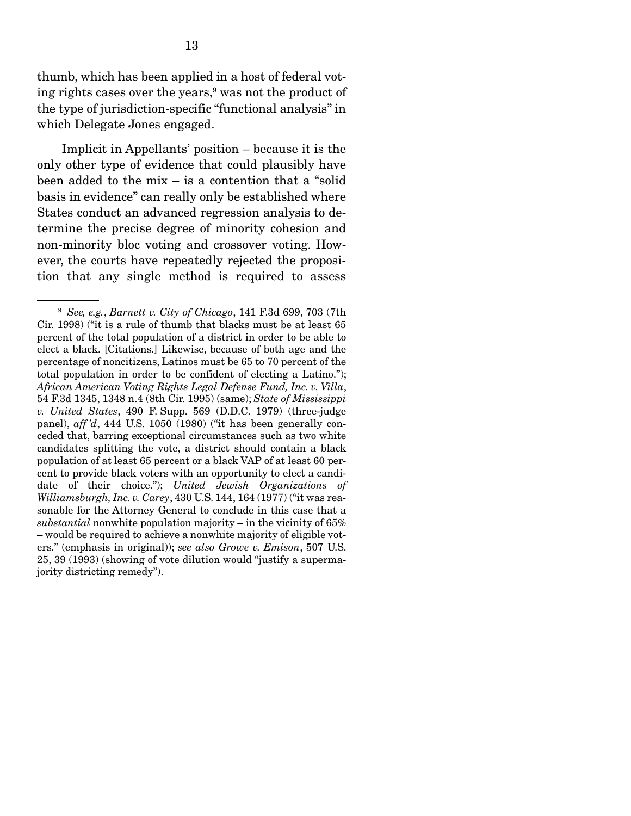thumb, which has been applied in a host of federal voting rights cases over the years,<sup>9</sup> was not the product of the type of jurisdiction-specific "functional analysis" in which Delegate Jones engaged.

 Implicit in Appellants' position – because it is the only other type of evidence that could plausibly have been added to the mix – is a contention that a "solid basis in evidence" can really only be established where States conduct an advanced regression analysis to determine the precise degree of minority cohesion and non-minority bloc voting and crossover voting. However, the courts have repeatedly rejected the proposition that any single method is required to assess

<sup>9</sup> *See, e.g.*, *Barnett v. City of Chicago*, 141 F.3d 699, 703 (7th Cir. 1998) ("it is a rule of thumb that blacks must be at least 65 percent of the total population of a district in order to be able to elect a black. [Citations.] Likewise, because of both age and the percentage of noncitizens, Latinos must be 65 to 70 percent of the total population in order to be confident of electing a Latino."); *African American Voting Rights Legal Defense Fund, Inc. v. Villa*, 54 F.3d 1345, 1348 n.4 (8th Cir. 1995) (same); *State of Mississippi v. United States*, 490 F. Supp. 569 (D.D.C. 1979) (three-judge panel), *aff 'd*, 444 U.S. 1050 (1980) ("it has been generally conceded that, barring exceptional circumstances such as two white candidates splitting the vote, a district should contain a black population of at least 65 percent or a black VAP of at least 60 percent to provide black voters with an opportunity to elect a candidate of their choice."); *United Jewish Organizations of Williamsburgh, Inc. v. Carey*, 430 U.S. 144, 164 (1977) ("it was reasonable for the Attorney General to conclude in this case that a *substantial* nonwhite population majority – in the vicinity of 65% – would be required to achieve a nonwhite majority of eligible voters." (emphasis in original)); *see also Growe v. Emison*, 507 U.S. 25, 39 (1993) (showing of vote dilution would "justify a supermajority districting remedy").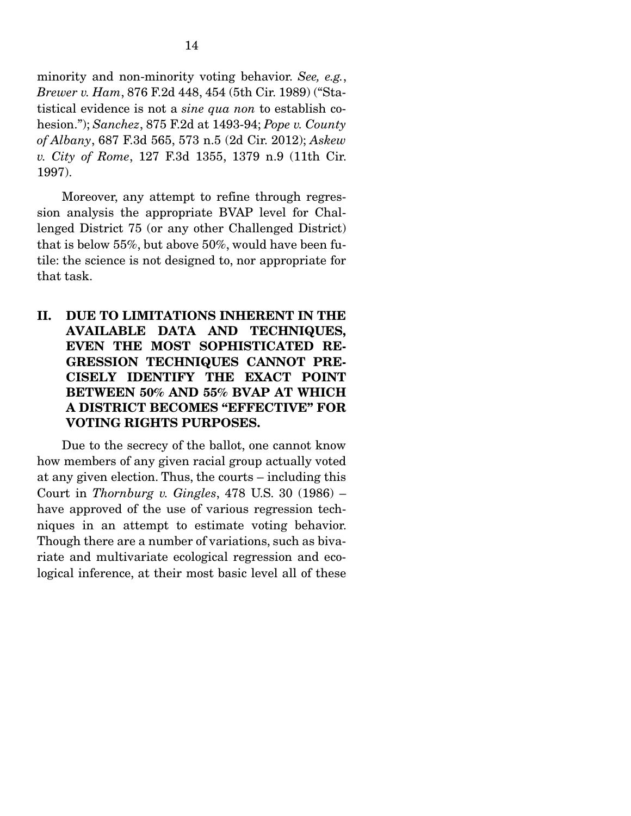minority and non-minority voting behavior. *See, e.g.*, *Brewer v. Ham*, 876 F.2d 448, 454 (5th Cir. 1989) ("Statistical evidence is not a *sine qua non* to establish cohesion."); *Sanchez*, 875 F.2d at 1493-94; *Pope v. County of Albany*, 687 F.3d 565, 573 n.5 (2d Cir. 2012); *Askew v. City of Rome*, 127 F.3d 1355, 1379 n.9 (11th Cir. 1997).

 Moreover, any attempt to refine through regression analysis the appropriate BVAP level for Challenged District 75 (or any other Challenged District) that is below 55%, but above 50%, would have been futile: the science is not designed to, nor appropriate for that task.

II. DUE TO LIMITATIONS INHERENT IN THE AVAILABLE DATA AND TECHNIQUES, EVEN THE MOST SOPHISTICATED RE-GRESSION TECHNIQUES CANNOT PRE-CISELY IDENTIFY THE EXACT POINT BETWEEN 50% AND 55% BVAP AT WHICH A DISTRICT BECOMES "EFFECTIVE" FOR VOTING RIGHTS PURPOSES.

 Due to the secrecy of the ballot, one cannot know how members of any given racial group actually voted at any given election. Thus, the courts – including this Court in *Thornburg v. Gingles*, 478 U.S. 30 (1986) – have approved of the use of various regression techniques in an attempt to estimate voting behavior. Though there are a number of variations, such as bivariate and multivariate ecological regression and ecological inference, at their most basic level all of these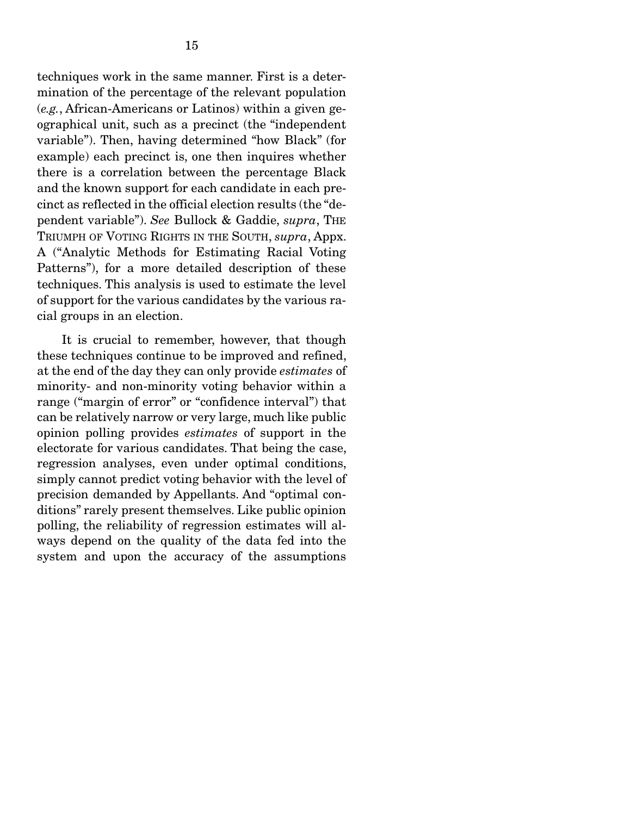techniques work in the same manner. First is a determination of the percentage of the relevant population (*e.g.*, African-Americans or Latinos) within a given geographical unit, such as a precinct (the "independent variable"). Then, having determined "how Black" (for example) each precinct is, one then inquires whether there is a correlation between the percentage Black and the known support for each candidate in each precinct as reflected in the official election results (the "dependent variable"). *See* Bullock & Gaddie, *supra*, THE TRIUMPH OF VOTING RIGHTS IN THE SOUTH, *supra*, Appx. A ("Analytic Methods for Estimating Racial Voting Patterns"), for a more detailed description of these techniques. This analysis is used to estimate the level of support for the various candidates by the various racial groups in an election.

 It is crucial to remember, however, that though these techniques continue to be improved and refined, at the end of the day they can only provide *estimates* of minority- and non-minority voting behavior within a range ("margin of error" or "confidence interval") that can be relatively narrow or very large, much like public opinion polling provides *estimates* of support in the electorate for various candidates. That being the case, regression analyses, even under optimal conditions, simply cannot predict voting behavior with the level of precision demanded by Appellants. And "optimal conditions" rarely present themselves. Like public opinion polling, the reliability of regression estimates will always depend on the quality of the data fed into the system and upon the accuracy of the assumptions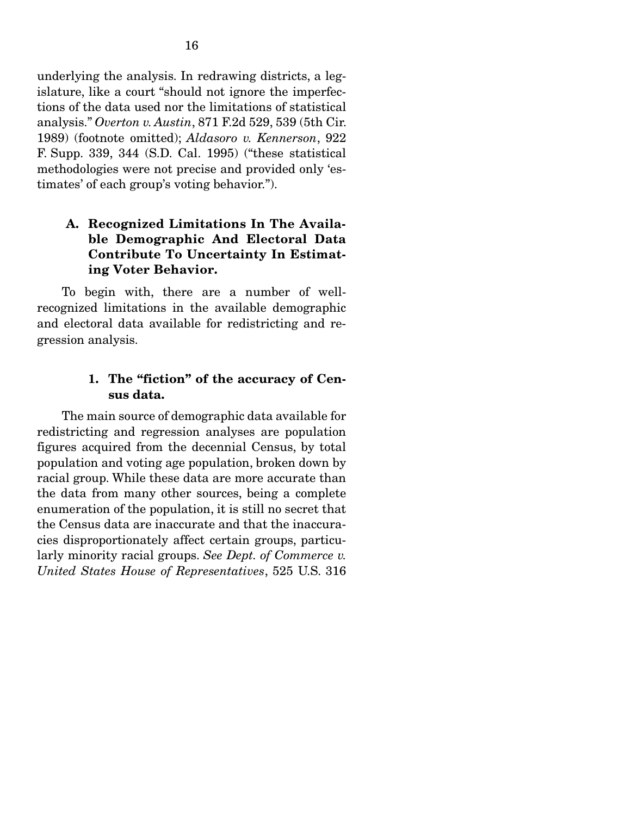underlying the analysis. In redrawing districts, a legislature, like a court "should not ignore the imperfections of the data used nor the limitations of statistical analysis." *Overton v. Austin*, 871 F.2d 529, 539 (5th Cir. 1989) (footnote omitted); *Aldasoro v. Kennerson*, 922 F. Supp. 339, 344 (S.D. Cal. 1995) ("these statistical methodologies were not precise and provided only 'estimates' of each group's voting behavior.").

## A. Recognized Limitations In The Available Demographic And Electoral Data Contribute To Uncertainty In Estimating Voter Behavior.

 To begin with, there are a number of wellrecognized limitations in the available demographic and electoral data available for redistricting and regression analysis.

## 1. The "fiction" of the accuracy of Census data.

 The main source of demographic data available for redistricting and regression analyses are population figures acquired from the decennial Census, by total population and voting age population, broken down by racial group. While these data are more accurate than the data from many other sources, being a complete enumeration of the population, it is still no secret that the Census data are inaccurate and that the inaccuracies disproportionately affect certain groups, particularly minority racial groups. *See Dept. of Commerce v. United States House of Representatives*, 525 U.S. 316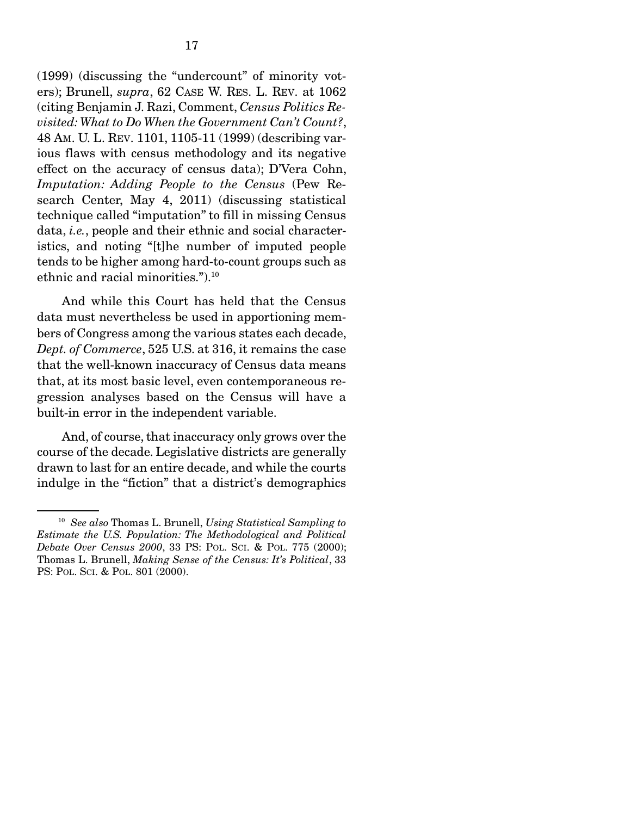(1999) (discussing the "undercount" of minority voters); Brunell, *supra*, 62 CASE W. RES. L. REV. at 1062 (citing Benjamin J. Razi, Comment, *Census Politics Revisited: What to Do When the Government Can't Count?*, 48 AM. U. L. REV. 1101, 1105-11 (1999) (describing various flaws with census methodology and its negative effect on the accuracy of census data); D'Vera Cohn, *Imputation: Adding People to the Census* (Pew Research Center, May 4, 2011) (discussing statistical technique called "imputation" to fill in missing Census data, *i.e.*, people and their ethnic and social characteristics, and noting "[t]he number of imputed people tends to be higher among hard-to-count groups such as ethnic and racial minorities.").10

 And while this Court has held that the Census data must nevertheless be used in apportioning members of Congress among the various states each decade, *Dept. of Commerce*, 525 U.S. at 316, it remains the case that the well-known inaccuracy of Census data means that, at its most basic level, even contemporaneous regression analyses based on the Census will have a built-in error in the independent variable.

 And, of course, that inaccuracy only grows over the course of the decade. Legislative districts are generally drawn to last for an entire decade, and while the courts indulge in the "fiction" that a district's demographics

<sup>10</sup> *See also* Thomas L. Brunell, *Using Statistical Sampling to Estimate the U.S. Population: The Methodological and Political Debate Over Census 2000*, 33 PS: POL. SCI. & POL. 775 (2000); Thomas L. Brunell, *Making Sense of the Census: It's Political*, 33 PS: POL. SCI. & POL. 801 (2000).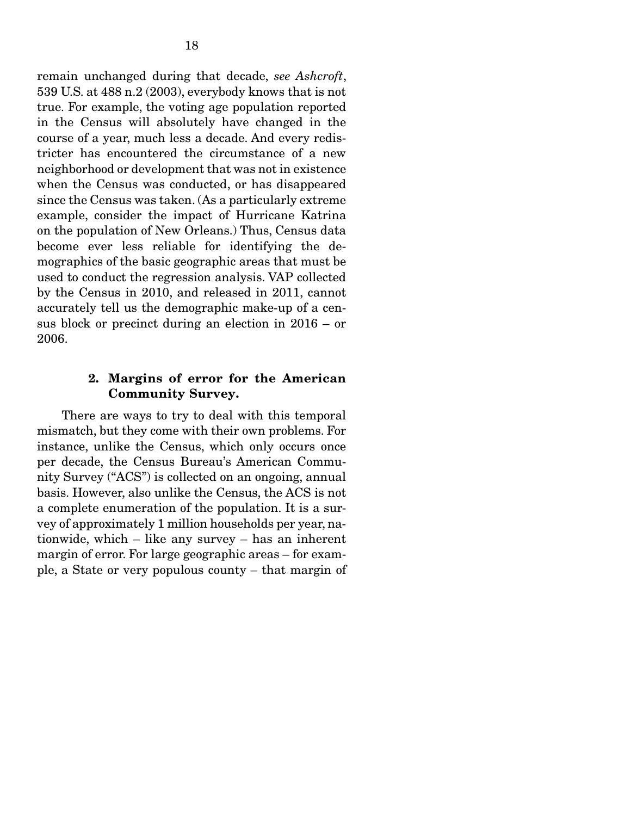remain unchanged during that decade, *see Ashcroft*, 539 U.S. at 488 n.2 (2003), everybody knows that is not true. For example, the voting age population reported in the Census will absolutely have changed in the course of a year, much less a decade. And every redistricter has encountered the circumstance of a new neighborhood or development that was not in existence when the Census was conducted, or has disappeared since the Census was taken. (As a particularly extreme example, consider the impact of Hurricane Katrina on the population of New Orleans.) Thus, Census data become ever less reliable for identifying the demographics of the basic geographic areas that must be used to conduct the regression analysis. VAP collected by the Census in 2010, and released in 2011, cannot accurately tell us the demographic make-up of a census block or precinct during an election in 2016 – or 2006.

### 2. Margins of error for the American Community Survey.

 There are ways to try to deal with this temporal mismatch, but they come with their own problems. For instance, unlike the Census, which only occurs once per decade, the Census Bureau's American Community Survey ("ACS") is collected on an ongoing, annual basis. However, also unlike the Census, the ACS is not a complete enumeration of the population. It is a survey of approximately 1 million households per year, nationwide, which – like any survey – has an inherent margin of error. For large geographic areas – for example, a State or very populous county – that margin of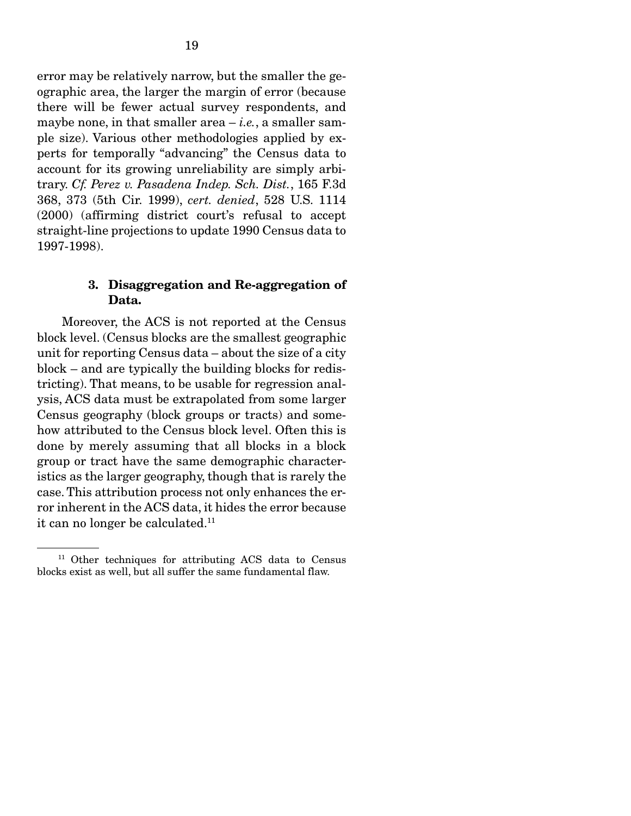error may be relatively narrow, but the smaller the geographic area, the larger the margin of error (because there will be fewer actual survey respondents, and maybe none, in that smaller area  $-i.e., a smaller sam$ ple size). Various other methodologies applied by experts for temporally "advancing" the Census data to account for its growing unreliability are simply arbitrary. *Cf. Perez v. Pasadena Indep. Sch. Dist.*, 165 F.3d 368, 373 (5th Cir. 1999), *cert. denied*, 528 U.S. 1114 (2000) (affirming district court's refusal to accept straight-line projections to update 1990 Census data to 1997-1998).

#### 3. Disaggregation and Re-aggregation of Data.

 Moreover, the ACS is not reported at the Census block level. (Census blocks are the smallest geographic unit for reporting Census data – about the size of a city block – and are typically the building blocks for redistricting). That means, to be usable for regression analysis, ACS data must be extrapolated from some larger Census geography (block groups or tracts) and somehow attributed to the Census block level. Often this is done by merely assuming that all blocks in a block group or tract have the same demographic characteristics as the larger geography, though that is rarely the case. This attribution process not only enhances the error inherent in the ACS data, it hides the error because it can no longer be calculated.<sup>11</sup>

<sup>&</sup>lt;sup>11</sup> Other techniques for attributing ACS data to Census blocks exist as well, but all suffer the same fundamental flaw.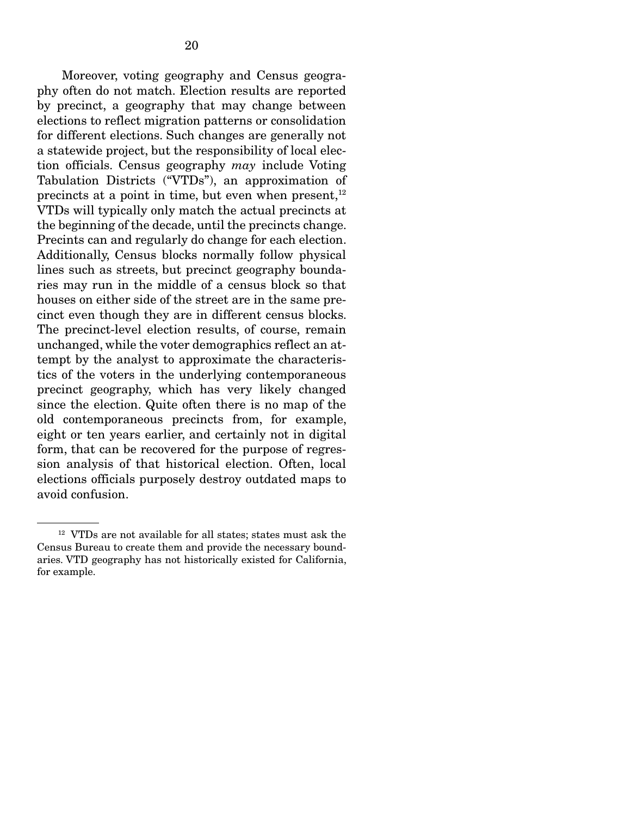Moreover, voting geography and Census geography often do not match. Election results are reported by precinct, a geography that may change between elections to reflect migration patterns or consolidation for different elections. Such changes are generally not a statewide project, but the responsibility of local election officials. Census geography *may* include Voting Tabulation Districts ("VTDs"), an approximation of precincts at a point in time, but even when present, $12$ VTDs will typically only match the actual precincts at the beginning of the decade, until the precincts change. Precints can and regularly do change for each election. Additionally, Census blocks normally follow physical lines such as streets, but precinct geography boundaries may run in the middle of a census block so that houses on either side of the street are in the same precinct even though they are in different census blocks. The precinct-level election results, of course, remain unchanged, while the voter demographics reflect an attempt by the analyst to approximate the characteristics of the voters in the underlying contemporaneous precinct geography, which has very likely changed since the election. Quite often there is no map of the old contemporaneous precincts from, for example, eight or ten years earlier, and certainly not in digital form, that can be recovered for the purpose of regression analysis of that historical election. Often, local elections officials purposely destroy outdated maps to avoid confusion.

<sup>&</sup>lt;sup>12</sup> VTDs are not available for all states; states must ask the Census Bureau to create them and provide the necessary boundaries. VTD geography has not historically existed for California, for example.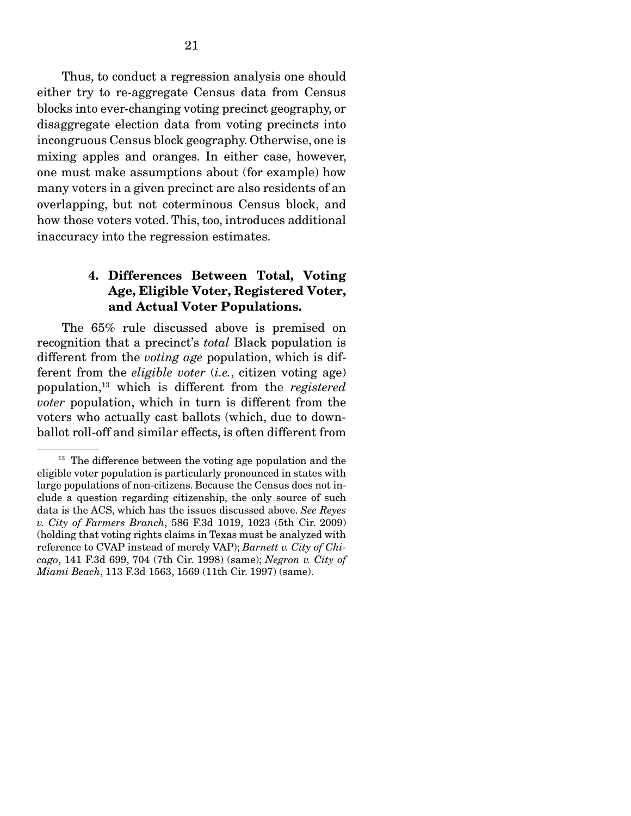Thus, to conduct a regression analysis one should either try to re-aggregate Census data from Census blocks into ever-changing voting precinct geography, or disaggregate election data from voting precincts into incongruous Census block geography. Otherwise, one is mixing apples and oranges. In either case, however, one must make assumptions about (for example) how many voters in a given precinct are also residents of an overlapping, but not coterminous Census block, and how those voters voted. This, too, introduces additional inaccuracy into the regression estimates.

## 4. Differences Between Total, Voting Age, Eligible Voter, Registered Voter, and Actual Voter Populations.

 The 65% rule discussed above is premised on recognition that a precinct's *total* Black population is different from the *voting age* population, which is different from the *eligible voter* (*i.e.*, citizen voting age) population,13 which is different from the *registered voter* population, which in turn is different from the voters who actually cast ballots (which, due to downballot roll-off and similar effects, is often different from

<sup>&</sup>lt;sup>13</sup> The difference between the voting age population and the eligible voter population is particularly pronounced in states with large populations of non-citizens. Because the Census does not include a question regarding citizenship, the only source of such data is the ACS, which has the issues discussed above. *See Reyes v. City of Farmers Branch*, 586 F.3d 1019, 1023 (5th Cir. 2009) (holding that voting rights claims in Texas must be analyzed with reference to CVAP instead of merely VAP); *Barnett v. City of Chicago*, 141 F.3d 699, 704 (7th Cir. 1998) (same); *Negron v. City of Miami Beach*, 113 F.3d 1563, 1569 (11th Cir. 1997) (same).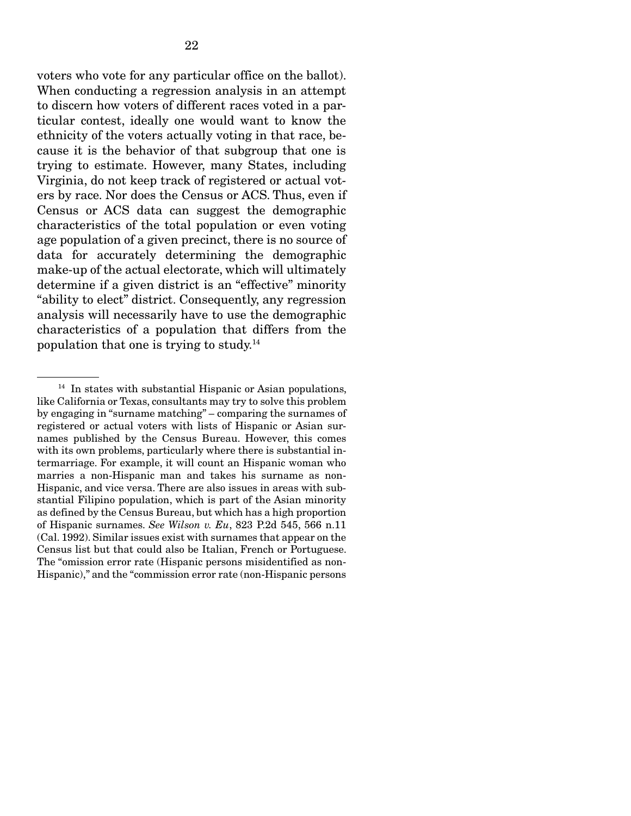voters who vote for any particular office on the ballot). When conducting a regression analysis in an attempt to discern how voters of different races voted in a particular contest, ideally one would want to know the ethnicity of the voters actually voting in that race, because it is the behavior of that subgroup that one is trying to estimate. However, many States, including Virginia, do not keep track of registered or actual voters by race. Nor does the Census or ACS. Thus, even if Census or ACS data can suggest the demographic characteristics of the total population or even voting age population of a given precinct, there is no source of data for accurately determining the demographic make-up of the actual electorate, which will ultimately determine if a given district is an "effective" minority "ability to elect" district. Consequently, any regression analysis will necessarily have to use the demographic characteristics of a population that differs from the population that one is trying to study.14

 $14$  In states with substantial Hispanic or Asian populations, like California or Texas, consultants may try to solve this problem by engaging in "surname matching" – comparing the surnames of registered or actual voters with lists of Hispanic or Asian surnames published by the Census Bureau. However, this comes with its own problems, particularly where there is substantial intermarriage. For example, it will count an Hispanic woman who marries a non-Hispanic man and takes his surname as non-Hispanic, and vice versa. There are also issues in areas with substantial Filipino population, which is part of the Asian minority as defined by the Census Bureau, but which has a high proportion of Hispanic surnames. *See Wilson v. Eu*, 823 P.2d 545, 566 n.11 (Cal. 1992). Similar issues exist with surnames that appear on the Census list but that could also be Italian, French or Portuguese. The "omission error rate (Hispanic persons misidentified as non-Hispanic)," and the "commission error rate (non-Hispanic persons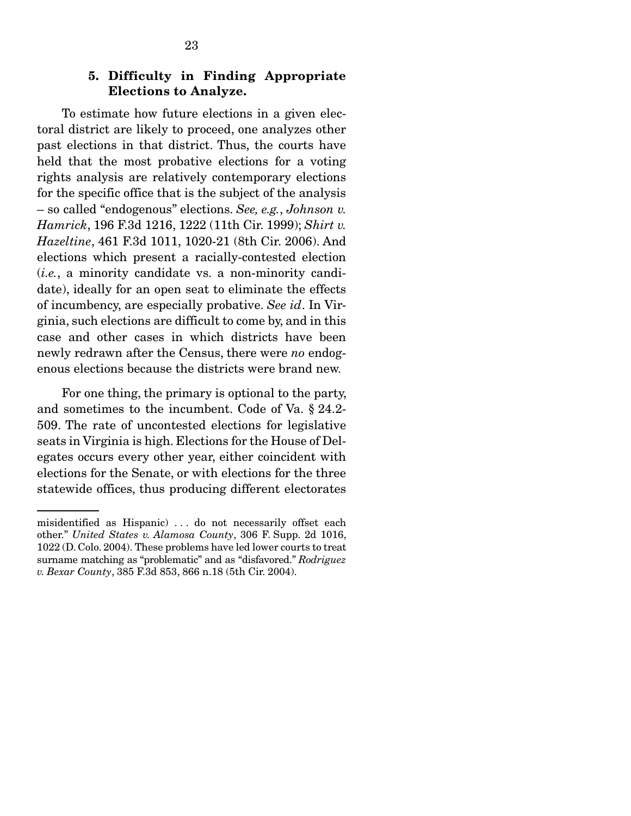### 5. Difficulty in Finding Appropriate Elections to Analyze.

 To estimate how future elections in a given electoral district are likely to proceed, one analyzes other past elections in that district. Thus, the courts have held that the most probative elections for a voting rights analysis are relatively contemporary elections for the specific office that is the subject of the analysis – so called "endogenous" elections. *See, e.g.*, *Johnson v. Hamrick*, 196 F.3d 1216, 1222 (11th Cir. 1999); *Shirt v. Hazeltine*, 461 F.3d 1011, 1020-21 (8th Cir. 2006). And elections which present a racially-contested election (*i.e.*, a minority candidate vs. a non-minority candidate), ideally for an open seat to eliminate the effects of incumbency, are especially probative. *See id*. In Virginia, such elections are difficult to come by, and in this case and other cases in which districts have been newly redrawn after the Census, there were *no* endogenous elections because the districts were brand new.

 For one thing, the primary is optional to the party, and sometimes to the incumbent. Code of Va. § 24.2- 509. The rate of uncontested elections for legislative seats in Virginia is high. Elections for the House of Delegates occurs every other year, either coincident with elections for the Senate, or with elections for the three statewide offices, thus producing different electorates

misidentified as Hispanic) . . . do not necessarily offset each other." *United States v. Alamosa County*, 306 F. Supp. 2d 1016, 1022 (D. Colo. 2004). These problems have led lower courts to treat surname matching as "problematic" and as "disfavored." *Rodriguez v. Bexar County*, 385 F.3d 853, 866 n.18 (5th Cir. 2004).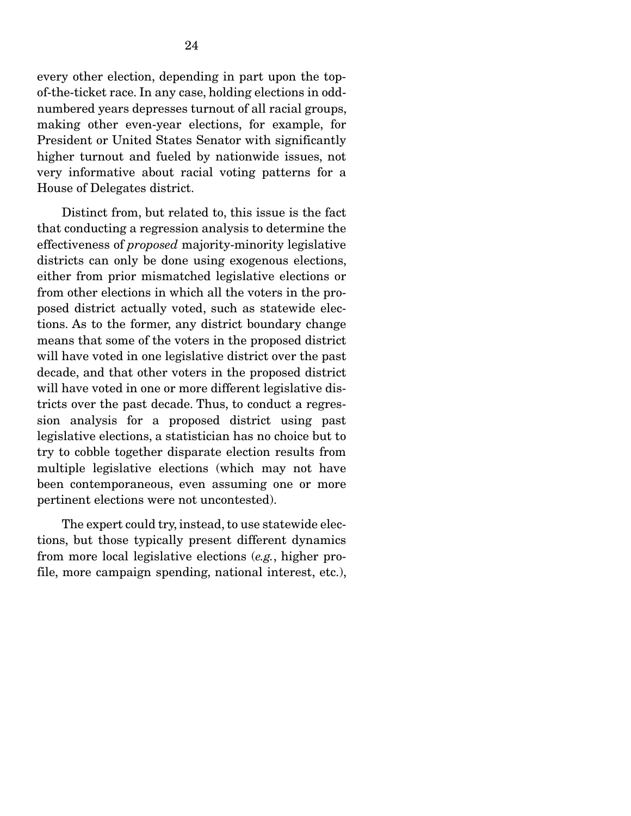every other election, depending in part upon the topof-the-ticket race. In any case, holding elections in oddnumbered years depresses turnout of all racial groups, making other even-year elections, for example, for President or United States Senator with significantly higher turnout and fueled by nationwide issues, not very informative about racial voting patterns for a House of Delegates district.

 Distinct from, but related to, this issue is the fact that conducting a regression analysis to determine the effectiveness of *proposed* majority-minority legislative districts can only be done using exogenous elections, either from prior mismatched legislative elections or from other elections in which all the voters in the proposed district actually voted, such as statewide elections. As to the former, any district boundary change means that some of the voters in the proposed district will have voted in one legislative district over the past decade, and that other voters in the proposed district will have voted in one or more different legislative districts over the past decade. Thus, to conduct a regression analysis for a proposed district using past legislative elections, a statistician has no choice but to try to cobble together disparate election results from multiple legislative elections (which may not have been contemporaneous, even assuming one or more pertinent elections were not uncontested).

 The expert could try, instead, to use statewide elections, but those typically present different dynamics from more local legislative elections (*e.g.*, higher profile, more campaign spending, national interest, etc.),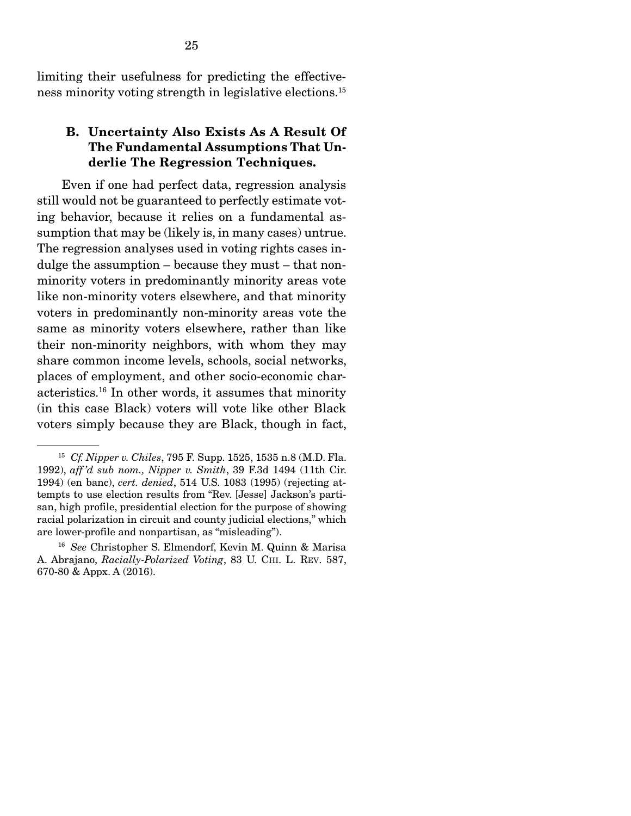limiting their usefulness for predicting the effectiveness minority voting strength in legislative elections.15

## B. Uncertainty Also Exists As A Result Of The Fundamental Assumptions That Underlie The Regression Techniques.

 Even if one had perfect data, regression analysis still would not be guaranteed to perfectly estimate voting behavior, because it relies on a fundamental assumption that may be (likely is, in many cases) untrue. The regression analyses used in voting rights cases indulge the assumption – because they must – that nonminority voters in predominantly minority areas vote like non-minority voters elsewhere, and that minority voters in predominantly non-minority areas vote the same as minority voters elsewhere, rather than like their non-minority neighbors, with whom they may share common income levels, schools, social networks, places of employment, and other socio-economic characteristics.16 In other words, it assumes that minority (in this case Black) voters will vote like other Black voters simply because they are Black, though in fact,

<sup>15</sup> *Cf. Nipper v. Chiles*, 795 F. Supp. 1525, 1535 n.8 (M.D. Fla. 1992), *aff 'd sub nom., Nipper v. Smith*, 39 F.3d 1494 (11th Cir. 1994) (en banc), *cert. denied*, 514 U.S. 1083 (1995) (rejecting attempts to use election results from "Rev. [Jesse] Jackson's partisan, high profile, presidential election for the purpose of showing racial polarization in circuit and county judicial elections," which are lower-profile and nonpartisan, as "misleading").

<sup>16</sup> *See* Christopher S. Elmendorf, Kevin M. Quinn & Marisa A. Abrajano, *Racially-Polarized Voting*, 83 U. CHI. L. REV. 587, 670-80 & Appx. A (2016).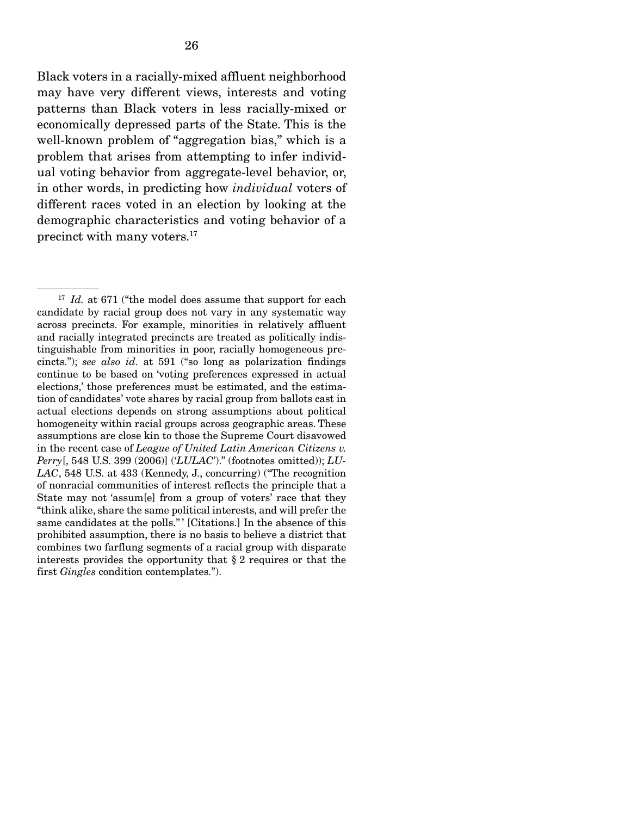Black voters in a racially-mixed affluent neighborhood may have very different views, interests and voting patterns than Black voters in less racially-mixed or economically depressed parts of the State. This is the well-known problem of "aggregation bias," which is a problem that arises from attempting to infer individual voting behavior from aggregate-level behavior, or, in other words, in predicting how *individual* voters of different races voted in an election by looking at the demographic characteristics and voting behavior of a precinct with many voters.17

<sup>&</sup>lt;sup>17</sup> *Id.* at 671 ("the model does assume that support for each candidate by racial group does not vary in any systematic way across precincts. For example, minorities in relatively affluent and racially integrated precincts are treated as politically indistinguishable from minorities in poor, racially homogeneous precincts."); *see also id.* at 591 ("so long as polarization findings continue to be based on 'voting preferences expressed in actual elections,' those preferences must be estimated, and the estimation of candidates' vote shares by racial group from ballots cast in actual elections depends on strong assumptions about political homogeneity within racial groups across geographic areas. These assumptions are close kin to those the Supreme Court disavowed in the recent case of *League of United Latin American Citizens v. Perry*[, 548 U.S. 399 (2006)] ('*LULAC*')." (footnotes omitted)); *LU-LAC*, 548 U.S. at 433 (Kennedy, J., concurring) ("The recognition of nonracial communities of interest reflects the principle that a State may not 'assum[e] from a group of voters' race that they "think alike, share the same political interests, and will prefer the same candidates at the polls." ' [Citations.] In the absence of this prohibited assumption, there is no basis to believe a district that combines two farflung segments of a racial group with disparate interests provides the opportunity that § 2 requires or that the first *Gingles* condition contemplates.").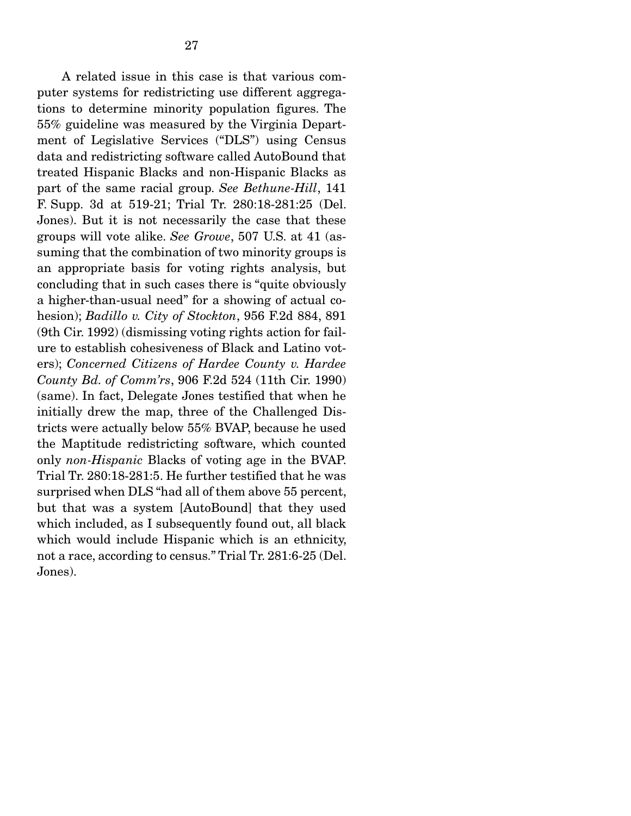A related issue in this case is that various computer systems for redistricting use different aggregations to determine minority population figures. The 55% guideline was measured by the Virginia Department of Legislative Services ("DLS") using Census data and redistricting software called AutoBound that treated Hispanic Blacks and non-Hispanic Blacks as part of the same racial group. *See Bethune-Hill*, 141 F. Supp. 3d at 519-21; Trial Tr. 280:18-281:25 (Del. Jones). But it is not necessarily the case that these groups will vote alike. *See Growe*, 507 U.S. at 41 (assuming that the combination of two minority groups is an appropriate basis for voting rights analysis, but concluding that in such cases there is "quite obviously a higher-than-usual need" for a showing of actual cohesion); *Badillo v. City of Stockton*, 956 F.2d 884, 891 (9th Cir. 1992) (dismissing voting rights action for failure to establish cohesiveness of Black and Latino voters); *Concerned Citizens of Hardee County v. Hardee County Bd. of Comm'rs*, 906 F.2d 524 (11th Cir. 1990) (same). In fact, Delegate Jones testified that when he initially drew the map, three of the Challenged Districts were actually below 55% BVAP, because he used the Maptitude redistricting software, which counted only *non-Hispanic* Blacks of voting age in the BVAP. Trial Tr. 280:18-281:5. He further testified that he was surprised when DLS "had all of them above 55 percent, but that was a system [AutoBound] that they used which included, as I subsequently found out, all black which would include Hispanic which is an ethnicity, not a race, according to census." Trial Tr. 281:6-25 (Del. Jones).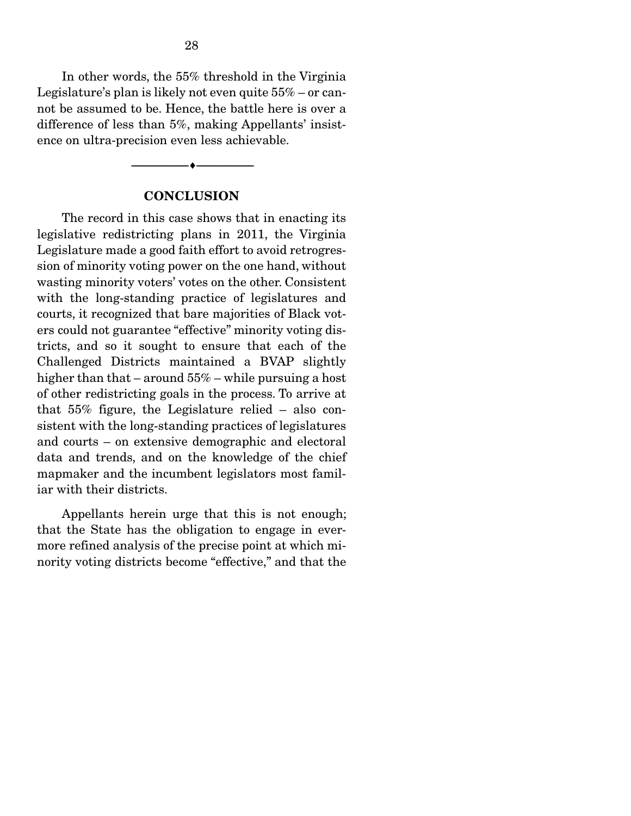In other words, the 55% threshold in the Virginia Legislature's plan is likely not even quite 55% – or cannot be assumed to be. Hence, the battle here is over a difference of less than 5%, making Appellants' insistence on ultra-precision even less achievable.

#### **CONCLUSION**

--------------------------------- ---------------------------------

 The record in this case shows that in enacting its legislative redistricting plans in 2011, the Virginia Legislature made a good faith effort to avoid retrogression of minority voting power on the one hand, without wasting minority voters' votes on the other. Consistent with the long-standing practice of legislatures and courts, it recognized that bare majorities of Black voters could not guarantee "effective" minority voting districts, and so it sought to ensure that each of the Challenged Districts maintained a BVAP slightly higher than that – around 55% – while pursuing a host of other redistricting goals in the process. To arrive at that 55% figure, the Legislature relied – also consistent with the long-standing practices of legislatures and courts – on extensive demographic and electoral data and trends, and on the knowledge of the chief mapmaker and the incumbent legislators most familiar with their districts.

 Appellants herein urge that this is not enough; that the State has the obligation to engage in evermore refined analysis of the precise point at which minority voting districts become "effective," and that the